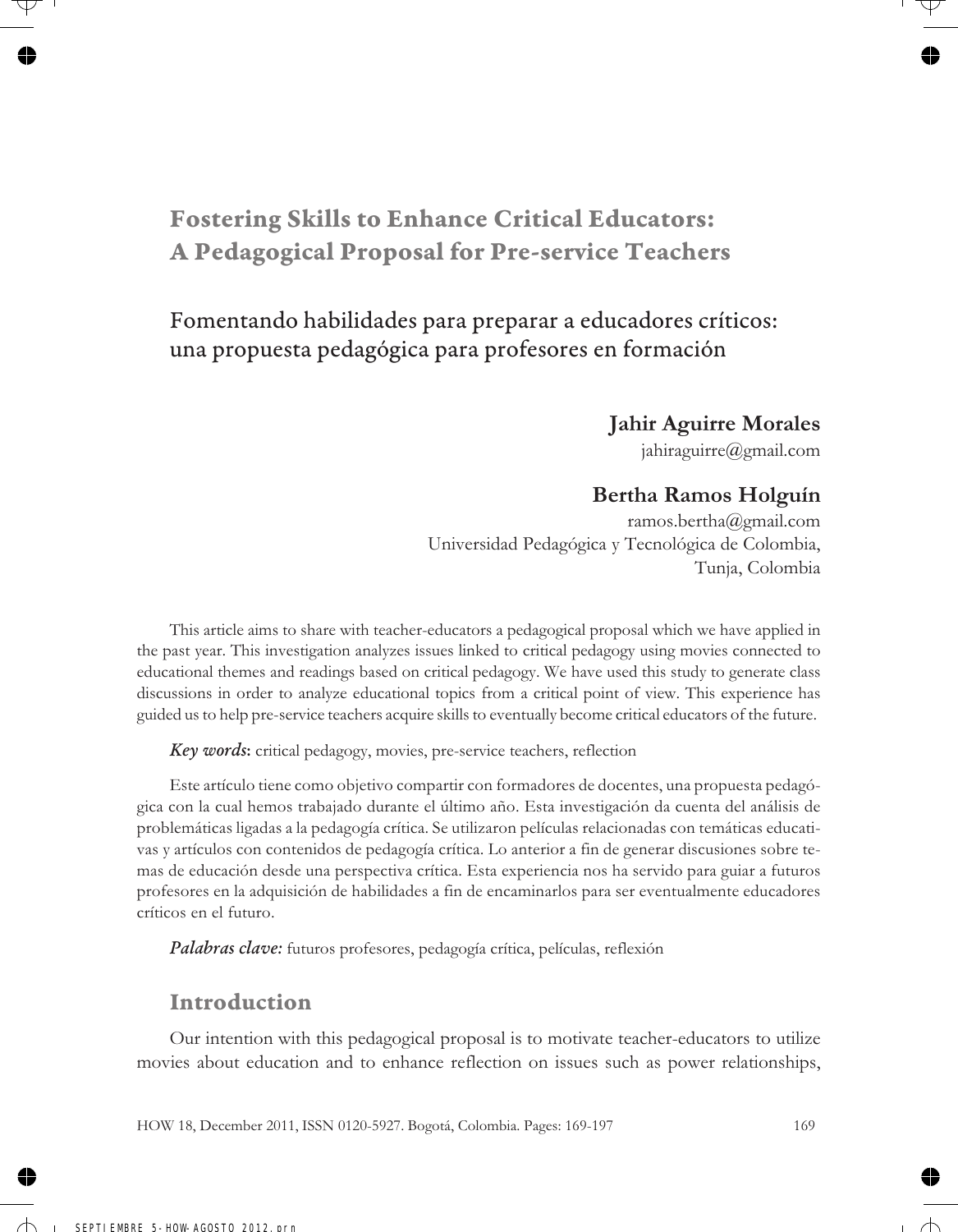# **Fostering Skills to Enhance Critical Educators: A Pedagogical Proposal for Pre-service Teachers**

# Fomentando habilidades para preparar a educadores críticos: una propuesta pedagógica para profesores en formación

#### **Jahir Aguirre Morales**

jahiraguirre@gmail.com

### **Bertha Ramos Holguín**

ramos.bertha@gmail.com Universidad Pedagógica y Tecnológica de Colombia, Tunja, Colombia

This article aims to share with teacher-educators a pedagogical proposal which we have applied in the past year. This investigation analyzes issues linked to critical pedagogy using movies connected to educational themes and readings based on critical pedagogy. We have used this study to generate class discussions in order to analyze educational topics from a critical point of view. This experience has guided us to help pre-service teachers acquire skills to eventually become critical educators of the future.

*Key words***:** critical pedagogy, movies, pre-service teachers, reflection

Este artículo tiene como objetivo compartir con formadores de docentes, una propuesta pedagógica con la cual hemos trabajado durante el último año. Esta investigación da cuenta del análisis de problemáticas ligadas a la pedagogía crítica. Se utilizaron películas relacionadas con temáticas educativas y artículos con contenidos de pedagogía crítica. Lo anterior a fin de generar discusiones sobre temas de educación desde una perspectiva crítica. Esta experiencia nos ha servido para guiar a futuros profesores en la adquisición de habilidades a fin de encaminarlos para ser eventualmente educadores críticos en el futuro.

*Palabras clave:* futuros profesores, pedagogía crítica, películas, reflexión

### **Introduction**

Our intention with this pedagogical proposal is to motivate teacher-educators to utilize movies about education and to enhance reflection on issues such as power relationships,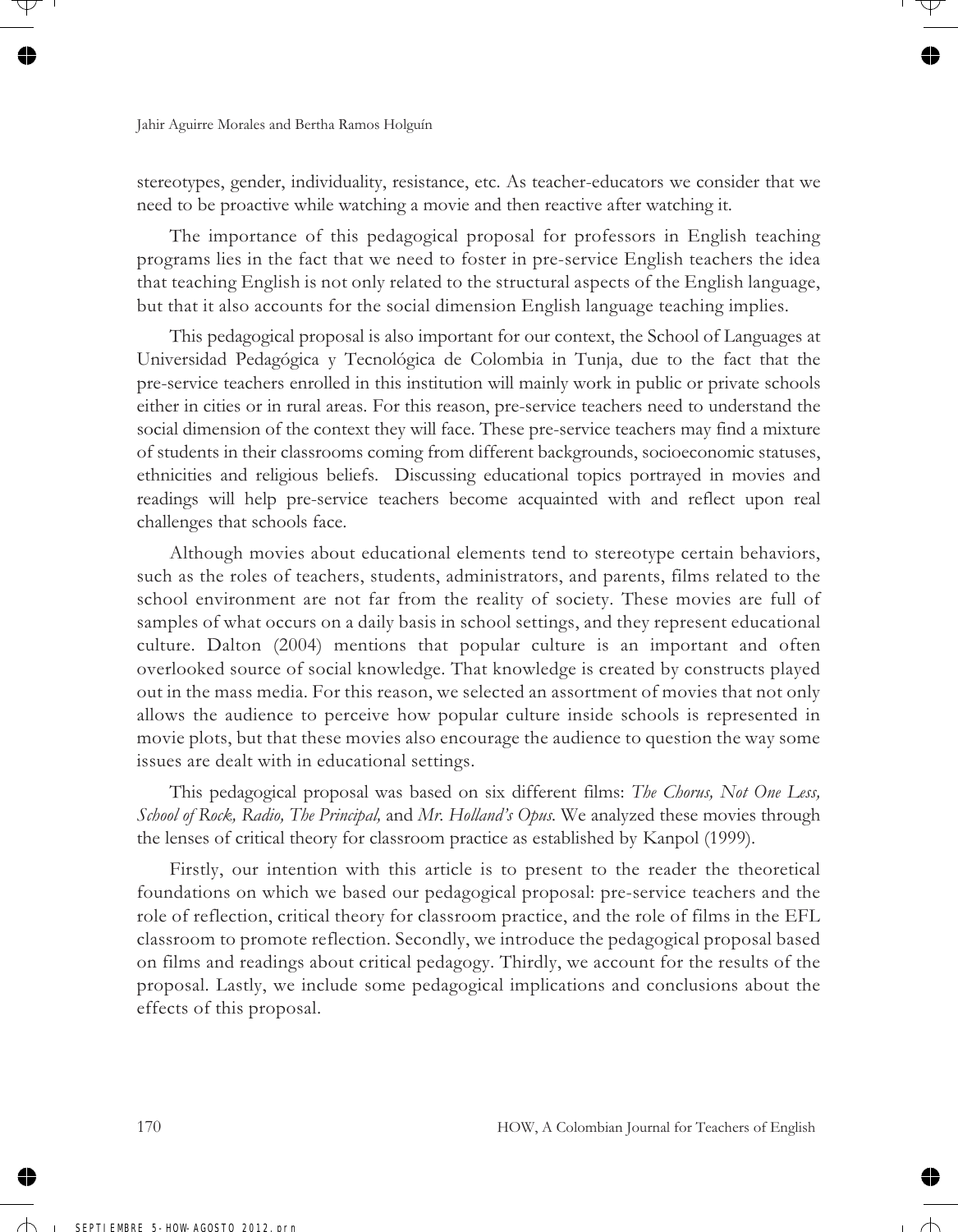stereotypes, gender, individuality, resistance, etc. As teacher-educators we consider that we need to be proactive while watching a movie and then reactive after watching it.

The importance of this pedagogical proposal for professors in English teaching programs lies in the fact that we need to foster in pre-service English teachers the idea that teaching English is not only related to the structural aspects of the English language, but that it also accounts for the social dimension English language teaching implies.

This pedagogical proposal is also important for our context, the School of Languages at Universidad Pedagógica y Tecnológica de Colombia in Tunja, due to the fact that the pre-service teachers enrolled in this institution will mainly work in public or private schools either in cities or in rural areas. For this reason, pre-service teachers need to understand the social dimension of the context they will face. These pre-service teachers may find a mixture of students in their classrooms coming from different backgrounds, socioeconomic statuses, ethnicities and religious beliefs. Discussing educational topics portrayed in movies and readings will help pre-service teachers become acquainted with and reflect upon real challenges that schools face.

Although movies about educational elements tend to stereotype certain behaviors, such as the roles of teachers, students, administrators, and parents, films related to the school environment are not far from the reality of society. These movies are full of samples of what occurs on a daily basis in school settings, and they represent educational culture. Dalton (2004) mentions that popular culture is an important and often overlooked source of social knowledge. That knowledge is created by constructs played out in the mass media. For this reason, we selected an assortment of movies that not only allows the audience to perceive how popular culture inside schools is represented in movie plots, but that these movies also encourage the audience to question the way some issues are dealt with in educational settings.

This pedagogical proposal was based on six different films: *The Chorus, Not One Less, School of Rock, Radio, The Principal,* and *Mr. Holland's Opus.* We analyzed these movies through the lenses of critical theory for classroom practice as established by Kanpol (1999).

Firstly, our intention with this article is to present to the reader the theoretical foundations on which we based our pedagogical proposal: pre-service teachers and the role of reflection, critical theory for classroom practice, and the role of films in the EFL classroom to promote reflection. Secondly, we introduce the pedagogical proposal based on films and readings about critical pedagogy. Thirdly, we account for the results of the proposal. Lastly, we include some pedagogical implications and conclusions about the effects of this proposal.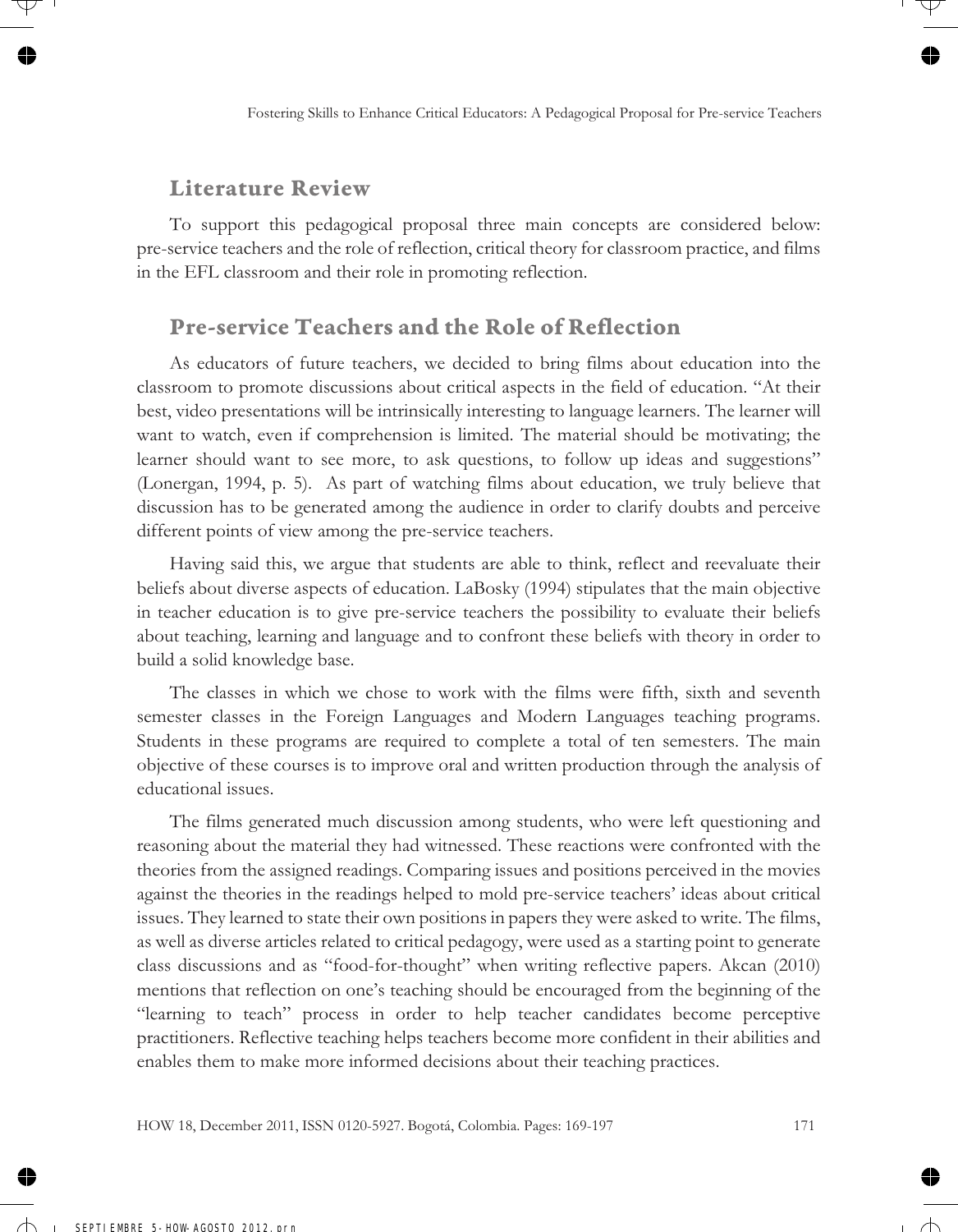### **Literature Review**

To support this pedagogical proposal three main concepts are considered below: pre-service teachers and the role of reflection, critical theory for classroom practice, and films in the EFL classroom and their role in promoting reflection.

### **Pre-service Teachers and the Role of Reflection**

As educators of future teachers, we decided to bring films about education into the classroom to promote discussions about critical aspects in the field of education. "At their best, video presentations will be intrinsically interesting to language learners. The learner will want to watch, even if comprehension is limited. The material should be motivating; the learner should want to see more, to ask questions, to follow up ideas and suggestions" (Lonergan, 1994, p. 5). As part of watching films about education, we truly believe that discussion has to be generated among the audience in order to clarify doubts and perceive different points of view among the pre-service teachers.

Having said this, we argue that students are able to think, reflect and reevaluate their beliefs about diverse aspects of education. LaBosky (1994) stipulates that the main objective in teacher education is to give pre-service teachers the possibility to evaluate their beliefs about teaching, learning and language and to confront these beliefs with theory in order to build a solid knowledge base.

The classes in which we chose to work with the films were fifth, sixth and seventh semester classes in the Foreign Languages and Modern Languages teaching programs. Students in these programs are required to complete a total of ten semesters. The main objective of these courses is to improve oral and written production through the analysis of educational issues.

The films generated much discussion among students, who were left questioning and reasoning about the material they had witnessed. These reactions were confronted with the theories from the assigned readings. Comparing issues and positions perceived in the movies against the theories in the readings helped to mold pre-service teachers' ideas about critical issues. They learned to state their own positions in papers they were asked to write. The films, as well as diverse articles related to critical pedagogy, were used as a starting point to generate class discussions and as "food-for-thought" when writing reflective papers. Akcan (2010) mentions that reflection on one's teaching should be encouraged from the beginning of the "learning to teach" process in order to help teacher candidates become perceptive practitioners. Reflective teaching helps teachers become more confident in their abilities and enables them to make more informed decisions about their teaching practices.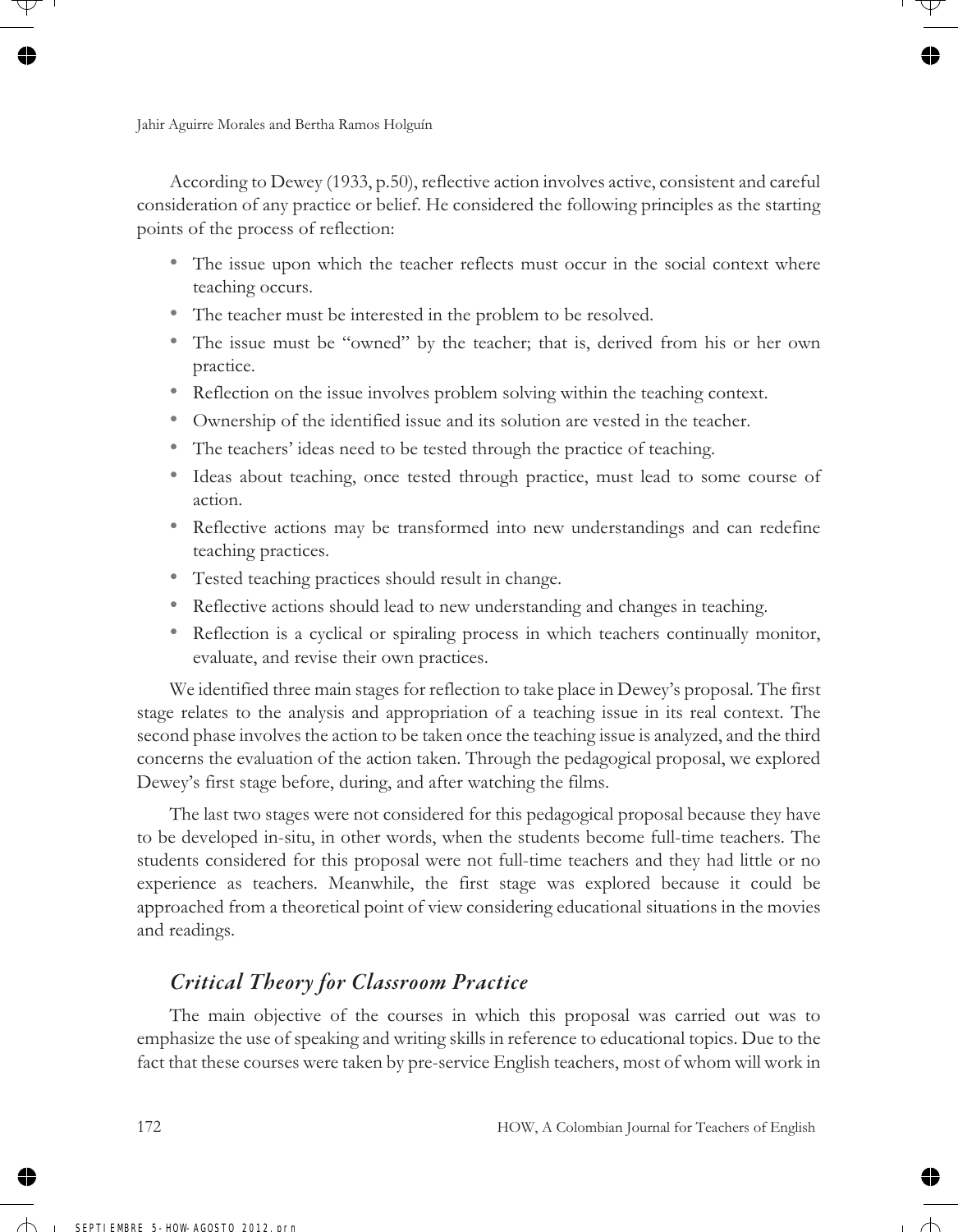According to Dewey (1933, p.50), reflective action involves active, consistent and careful consideration of any practice or belief. He considered the following principles as the starting points of the process of reflection:

- The issue upon which the teacher reflects must occur in the social context where teaching occurs.
- The teacher must be interested in the problem to be resolved.
- The issue must be "owned" by the teacher; that is, derived from his or her own practice.
- Reflection on the issue involves problem solving within the teaching context.
- Ownership of the identified issue and its solution are vested in the teacher.
- The teachers' ideas need to be tested through the practice of teaching.
- Ideas about teaching, once tested through practice, must lead to some course of action.
- Reflective actions may be transformed into new understandings and can redefine teaching practices.
- Tested teaching practices should result in change.
- Reflective actions should lead to new understanding and changes in teaching.
- Reflection is a cyclical or spiraling process in which teachers continually monitor, evaluate, and revise their own practices.

We identified three main stages for reflection to take place in Dewey's proposal. The first stage relates to the analysis and appropriation of a teaching issue in its real context. The second phase involves the action to be taken once the teaching issue is analyzed, and the third concerns the evaluation of the action taken. Through the pedagogical proposal, we explored Dewey's first stage before, during, and after watching the films.

The last two stages were not considered for this pedagogical proposal because they have to be developed in-situ, in other words, when the students become full-time teachers. The students considered for this proposal were not full-time teachers and they had little or no experience as teachers. Meanwhile, the first stage was explored because it could be approached from a theoretical point of view considering educational situations in the movies and readings.

### *Critical Theory for Classroom Practice*

The main objective of the courses in which this proposal was carried out was to emphasize the use of speaking and writing skills in reference to educational topics. Due to the fact that these courses were taken by pre-service English teachers, most of whom will work in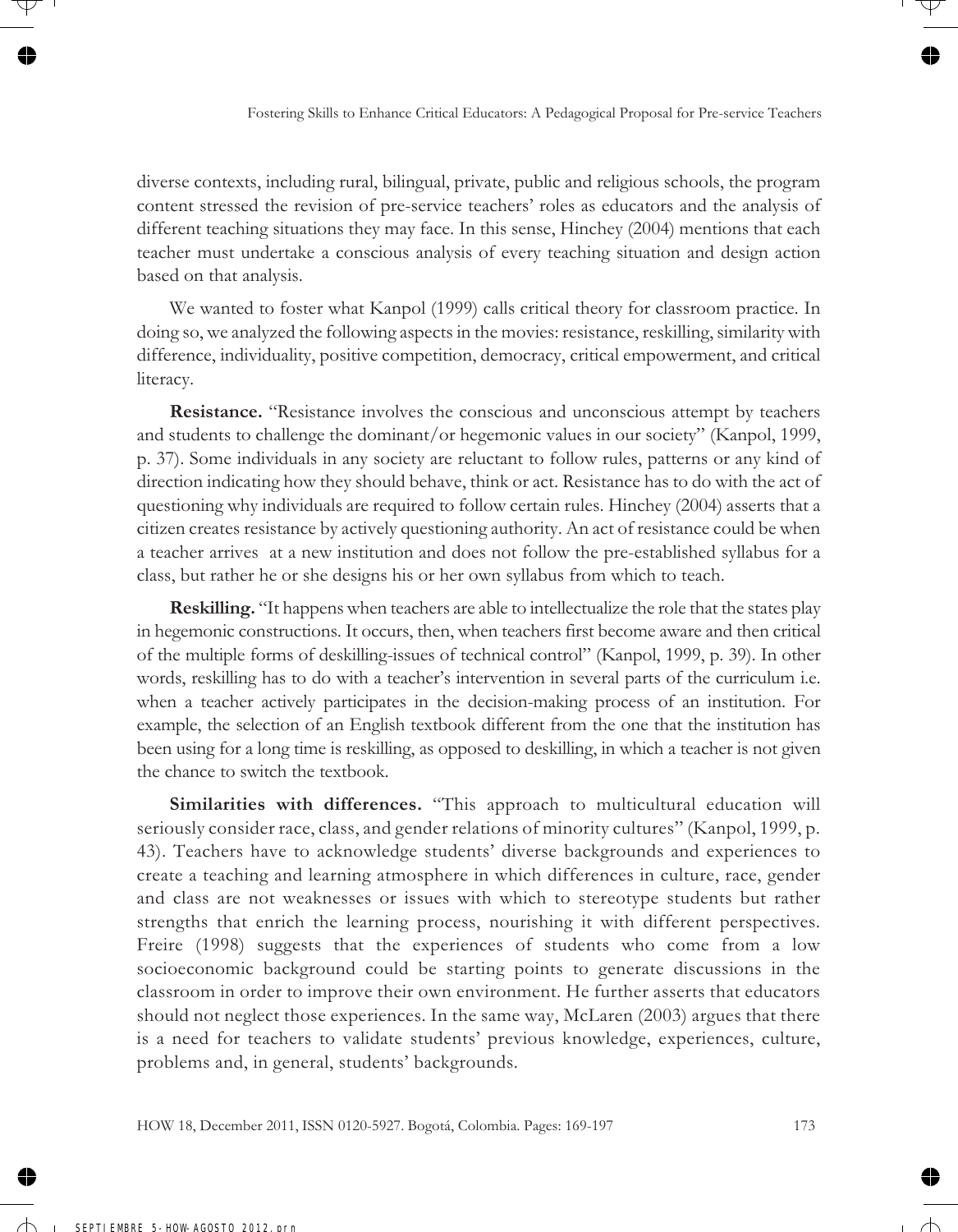diverse contexts, including rural, bilingual, private, public and religious schools, the program content stressed the revision of pre-service teachers' roles as educators and the analysis of different teaching situations they may face. In this sense, Hinchey (2004) mentions that each teacher must undertake a conscious analysis of every teaching situation and design action based on that analysis.

We wanted to foster what Kanpol (1999) calls critical theory for classroom practice. In doing so, we analyzed the following aspects in the movies: resistance, reskilling, similarity with difference, individuality, positive competition, democracy, critical empowerment, and critical literacy.

**Resistance.** "Resistance involves the conscious and unconscious attempt by teachers and students to challenge the dominant/or hegemonic values in our society" (Kanpol, 1999, p. 37). Some individuals in any society are reluctant to follow rules, patterns or any kind of direction indicating how they should behave, think or act. Resistance has to do with the act of questioning why individuals are required to follow certain rules. Hinchey (2004) asserts that a citizen creates resistance by actively questioning authority. An act of resistance could be when a teacher arrives at a new institution and does not follow the pre-established syllabus for a class, but rather he or she designs his or her own syllabus from which to teach.

**Reskilling.** "It happens when teachers are able to intellectualize the role that the states play in hegemonic constructions. It occurs, then, when teachers first become aware and then critical of the multiple forms of deskilling-issues of technical control" (Kanpol, 1999, p. 39). In other words, reskilling has to do with a teacher's intervention in several parts of the curriculum i.e. when a teacher actively participates in the decision-making process of an institution. For example, the selection of an English textbook different from the one that the institution has been using for a long time is reskilling, as opposed to deskilling, in which a teacher is not given the chance to switch the textbook.

**Similarities with differences.** "This approach to multicultural education will seriously consider race, class, and gender relations of minority cultures" (Kanpol, 1999, p. 43). Teachers have to acknowledge students' diverse backgrounds and experiences to create a teaching and learning atmosphere in which differences in culture, race, gender and class are not weaknesses or issues with which to stereotype students but rather strengths that enrich the learning process, nourishing it with different perspectives. Freire (1998) suggests that the experiences of students who come from a low socioeconomic background could be starting points to generate discussions in the classroom in order to improve their own environment. He further asserts that educators should not neglect those experiences. In the same way, McLaren (2003) argues that there is a need for teachers to validate students' previous knowledge, experiences, culture, problems and, in general, students' backgrounds.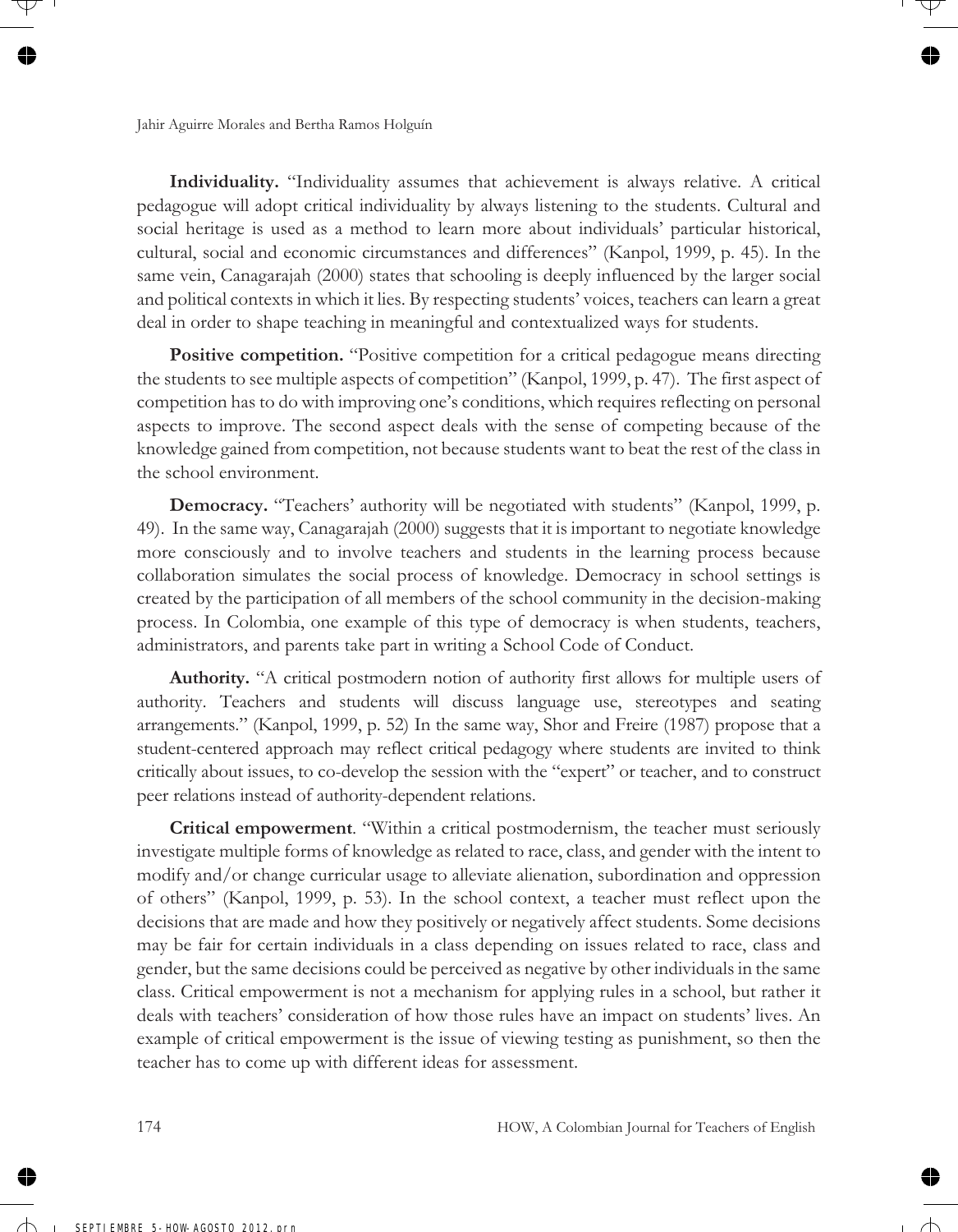**Individuality.** "Individuality assumes that achievement is always relative. A critical pedagogue will adopt critical individuality by always listening to the students. Cultural and social heritage is used as a method to learn more about individuals' particular historical, cultural, social and economic circumstances and differences" (Kanpol, 1999, p. 45). In the same vein, Canagarajah (2000) states that schooling is deeply influenced by the larger social and political contexts in which it lies. By respecting students' voices, teachers can learn a great deal in order to shape teaching in meaningful and contextualized ways for students.

**Positive competition.** "Positive competition for a critical pedagogue means directing the students to see multiple aspects of competition" (Kanpol, 1999, p. 47). The first aspect of competition has to do with improving one's conditions, which requires reflecting on personal aspects to improve. The second aspect deals with the sense of competing because of the knowledge gained from competition, not because students want to beat the rest of the class in the school environment.

**Democracy.** "Teachers' authority will be negotiated with students" (Kanpol, 1999, p. 49). In the same way, Canagarajah (2000) suggests that it is important to negotiate knowledge more consciously and to involve teachers and students in the learning process because collaboration simulates the social process of knowledge. Democracy in school settings is created by the participation of all members of the school community in the decision-making process. In Colombia, one example of this type of democracy is when students, teachers, administrators, and parents take part in writing a School Code of Conduct.

**Authority.** "A critical postmodern notion of authority first allows for multiple users of authority. Teachers and students will discuss language use, stereotypes and seating arrangements." (Kanpol, 1999, p. 52) In the same way, Shor and Freire (1987) propose that a student-centered approach may reflect critical pedagogy where students are invited to think critically about issues, to co-develop the session with the "expert" or teacher, and to construct peer relations instead of authority-dependent relations.

**Critical empowerment**. "Within a critical postmodernism, the teacher must seriously investigate multiple forms of knowledge as related to race, class, and gender with the intent to modify and/or change curricular usage to alleviate alienation, subordination and oppression of others" (Kanpol, 1999, p. 53). In the school context, a teacher must reflect upon the decisions that are made and how they positively or negatively affect students. Some decisions may be fair for certain individuals in a class depending on issues related to race, class and gender, but the same decisions could be perceived as negative by other individuals in the same class. Critical empowerment is not a mechanism for applying rules in a school, but rather it deals with teachers' consideration of how those rules have an impact on students' lives. An example of critical empowerment is the issue of viewing testing as punishment, so then the teacher has to come up with different ideas for assessment.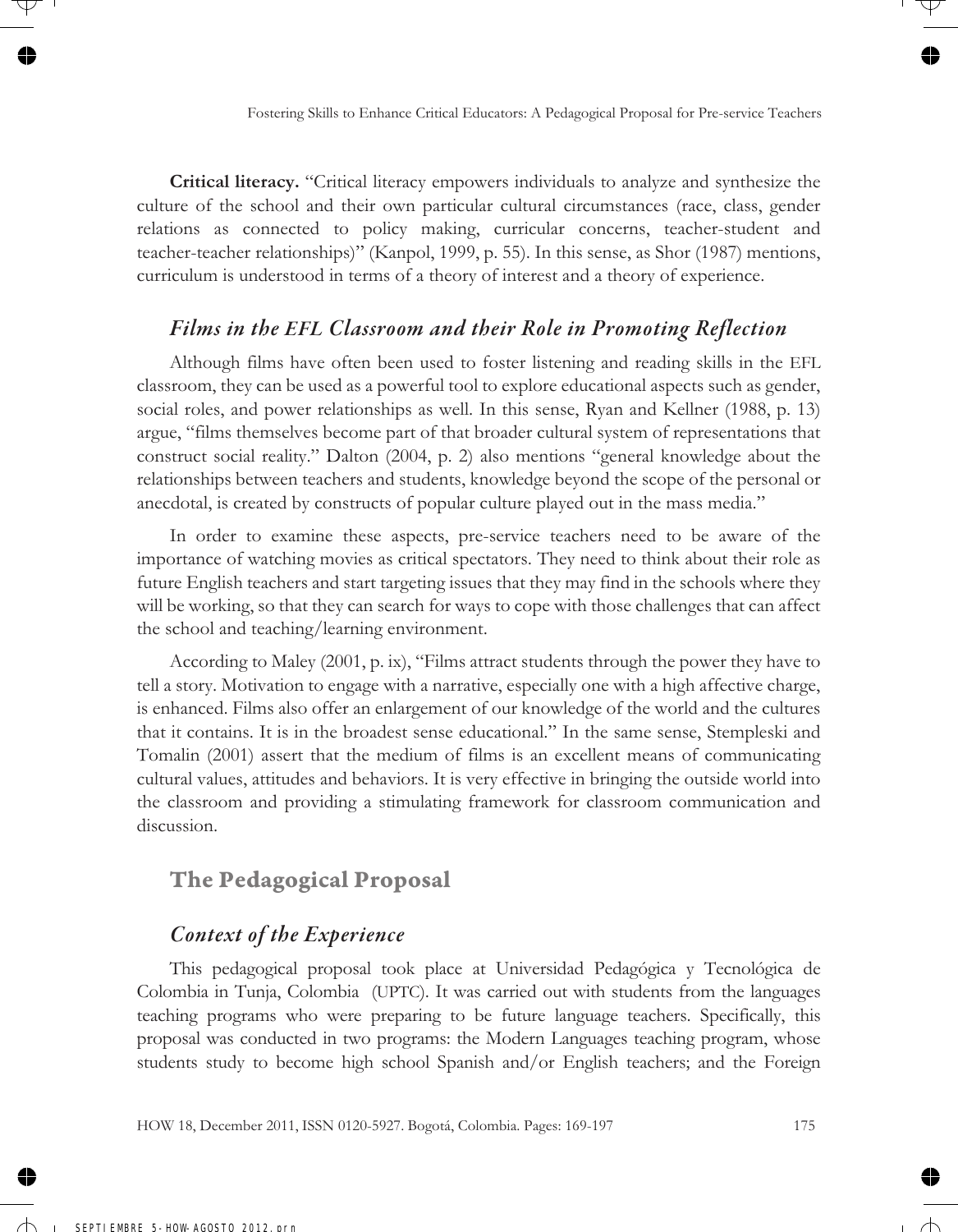**Critical literacy.** "Critical literacy empowers individuals to analyze and synthesize the culture of the school and their own particular cultural circumstances (race, class, gender relations as connected to policy making, curricular concerns, teacher-student and teacher-teacher relationships)" (Kanpol, 1999, p. 55). In this sense, as Shor (1987) mentions, curriculum is understood in terms of a theory of interest and a theory of experience.

### *Films in the EFL Classroom and their Role in Promoting Reflection*

Although films have often been used to foster listening and reading skills in the EFL classroom, they can be used as a powerful tool to explore educational aspects such as gender, social roles, and power relationships as well. In this sense, Ryan and Kellner (1988, p. 13) argue, "films themselves become part of that broader cultural system of representations that construct social reality." Dalton (2004, p. 2) also mentions "general knowledge about the relationships between teachers and students, knowledge beyond the scope of the personal or anecdotal, is created by constructs of popular culture played out in the mass media."

In order to examine these aspects, pre-service teachers need to be aware of the importance of watching movies as critical spectators. They need to think about their role as future English teachers and start targeting issues that they may find in the schools where they will be working, so that they can search for ways to cope with those challenges that can affect the school and teaching/learning environment.

According to Maley (2001, p. ix), "Films attract students through the power they have to tell a story. Motivation to engage with a narrative, especially one with a high affective charge, is enhanced. Films also offer an enlargement of our knowledge of the world and the cultures that it contains. It is in the broadest sense educational." In the same sense, Stempleski and Tomalin (2001) assert that the medium of films is an excellent means of communicating cultural values, attitudes and behaviors. It is very effective in bringing the outside world into the classroom and providing a stimulating framework for classroom communication and discussion.

# **The Pedagogical Proposal**

### *Context of the Experience*

This pedagogical proposal took place at Universidad Pedagógica y Tecnológica de Colombia in Tunja, Colombia (UPTC). It was carried out with students from the languages teaching programs who were preparing to be future language teachers. Specifically, this proposal was conducted in two programs: the Modern Languages teaching program, whose students study to become high school Spanish and/or English teachers; and the Foreign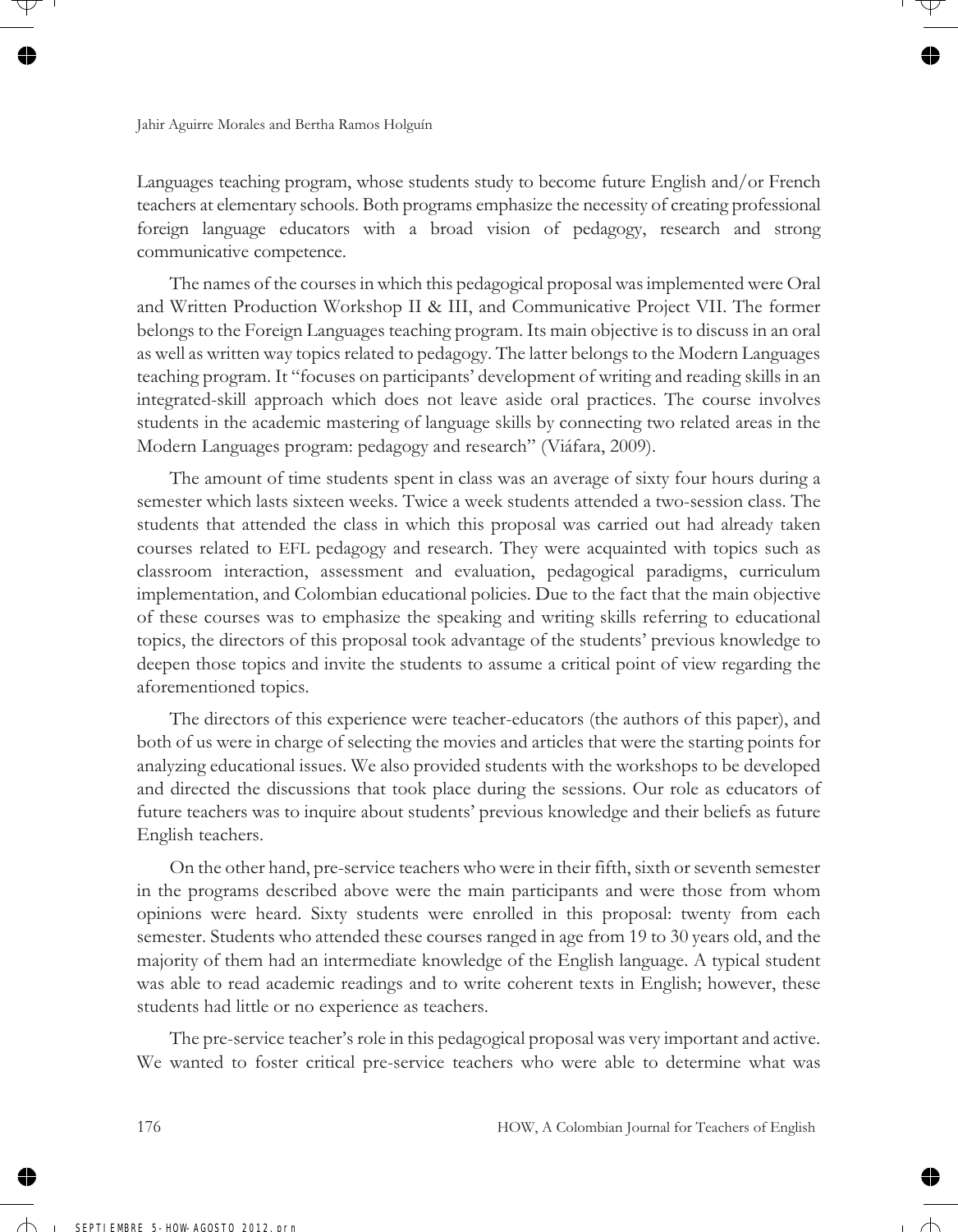Languages teaching program, whose students study to become future English and/or French teachers at elementary schools. Both programs emphasize the necessity of creating professional foreign language educators with a broad vision of pedagogy, research and strong communicative competence.

The names of the courses in which this pedagogical proposal was implemented were Oral and Written Production Workshop II & III, and Communicative Project VII. The former belongs to the Foreign Languages teaching program. Its main objective is to discuss in an oral as well as written way topics related to pedagogy. The latter belongs to the Modern Languages teaching program. It "focuses on participants' development of writing and reading skills in an integrated-skill approach which does not leave aside oral practices. The course involves students in the academic mastering of language skills by connecting two related areas in the Modern Languages program: pedagogy and research" (Viáfara, 2009).

The amount of time students spent in class was an average of sixty four hours during a semester which lasts sixteen weeks. Twice a week students attended a two-session class. The students that attended the class in which this proposal was carried out had already taken courses related to EFL pedagogy and research. They were acquainted with topics such as classroom interaction, assessment and evaluation, pedagogical paradigms, curriculum implementation, and Colombian educational policies. Due to the fact that the main objective of these courses was to emphasize the speaking and writing skills referring to educational topics, the directors of this proposal took advantage of the students' previous knowledge to deepen those topics and invite the students to assume a critical point of view regarding the aforementioned topics.

The directors of this experience were teacher-educators (the authors of this paper), and both of us were in charge of selecting the movies and articles that were the starting points for analyzing educational issues. We also provided students with the workshops to be developed and directed the discussions that took place during the sessions. Our role as educators of future teachers was to inquire about students' previous knowledge and their beliefs as future English teachers.

On the other hand, pre-service teachers who were in their fifth, sixth or seventh semester in the programs described above were the main participants and were those from whom opinions were heard. Sixty students were enrolled in this proposal: twenty from each semester. Students who attended these courses ranged in age from 19 to 30 years old, and the majority of them had an intermediate knowledge of the English language. A typical student was able to read academic readings and to write coherent texts in English; however, these students had little or no experience as teachers.

The pre-service teacher's role in this pedagogical proposal was very important and active. We wanted to foster critical pre-service teachers who were able to determine what was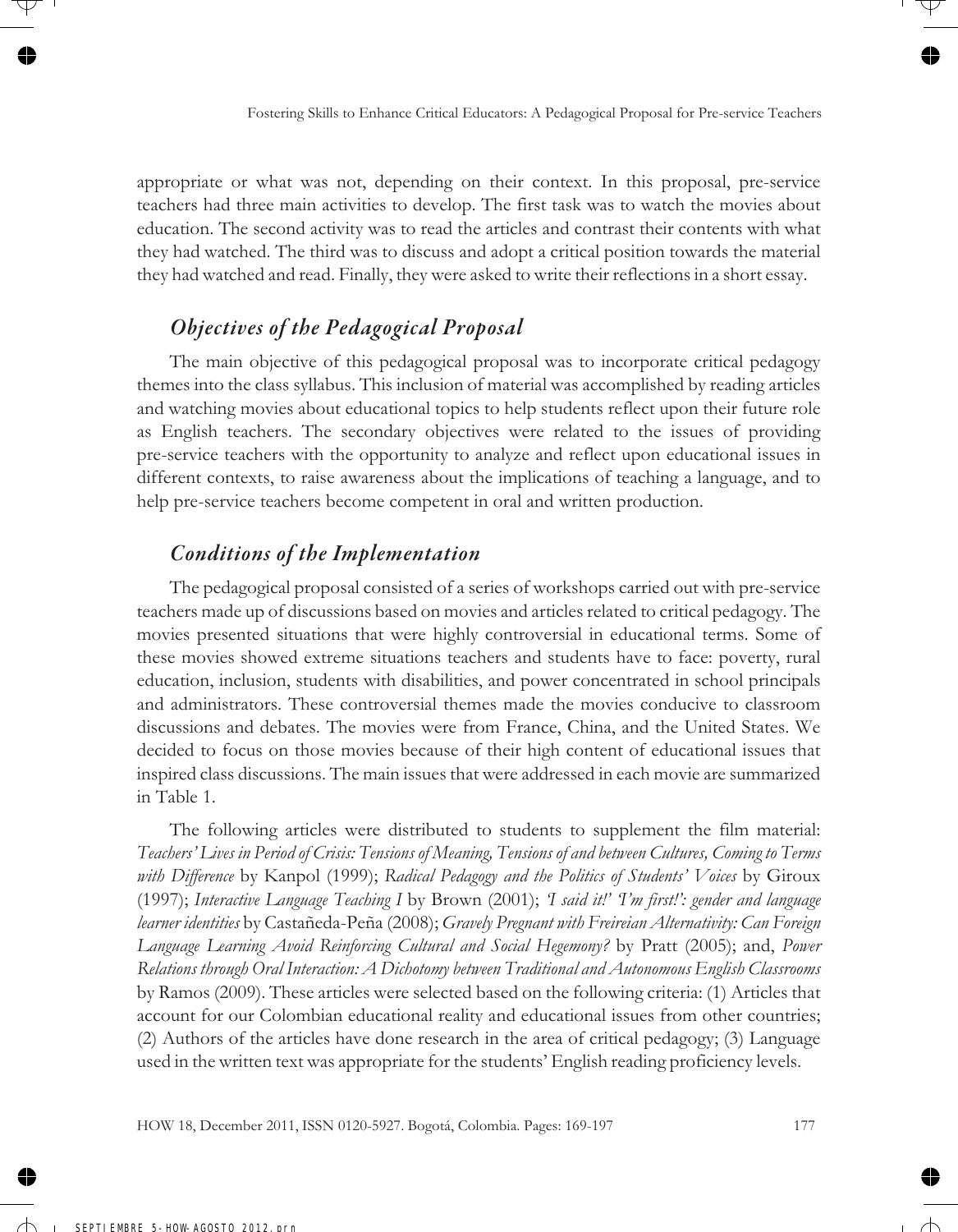appropriate or what was not, depending on their context. In this proposal, pre-service teachers had three main activities to develop. The first task was to watch the movies about education. The second activity was to read the articles and contrast their contents with what they had watched. The third was to discuss and adopt a critical position towards the material they had watched and read. Finally, they were asked to write their reflections in a short essay.

### *Objectives of the Pedagogical Proposal*

The main objective of this pedagogical proposal was to incorporate critical pedagogy themes into the class syllabus. This inclusion of material was accomplished by reading articles and watching movies about educational topics to help students reflect upon their future role as English teachers. The secondary objectives were related to the issues of providing pre-service teachers with the opportunity to analyze and reflect upon educational issues in different contexts, to raise awareness about the implications of teaching a language, and to help pre-service teachers become competent in oral and written production.

# *Conditions of the Implementation*

The pedagogical proposal consisted of a series of workshops carried out with pre-service teachers made up of discussions based on movies and articles related to critical pedagogy. The movies presented situations that were highly controversial in educational terms. Some of these movies showed extreme situations teachers and students have to face: poverty, rural education, inclusion, students with disabilities, and power concentrated in school principals and administrators. These controversial themes made the movies conducive to classroom discussions and debates. The movies were from France, China, and the United States. We decided to focus on those movies because of their high content of educational issues that inspired class discussions. The main issues that were addressed in each movie are summarized in Table 1.

The following articles were distributed to students to supplement the film material: *Teachers' Lives in Period of Crisis: Tensions of Meaning, Tensions of and between Cultures, Coming to Terms with Difference* by Kanpol (1999); *Radical Pedagogy and the Politics of Students' Voices* by Giroux (1997); *Interactive Language Teaching I* by Brown (2001); *'I said it!' 'I'm first!': gender and language learner identities* by Castañeda-Peña (2008); *Gravely Pregnant with Freireian Alternativity: Can Foreign Language Learning Avoid Reinforcing Cultural and Social Hegemony?* by Pratt (2005); and, *Power Relations through Oral Interaction: A Dichotomy between Traditional and Autonomous English Classrooms* by Ramos (2009). These articles were selected based on the following criteria: (1) Articles that account for our Colombian educational reality and educational issues from other countries; (2) Authors of the articles have done research in the area of critical pedagogy; (3) Language used in the written text was appropriate for the students' English reading proficiency levels.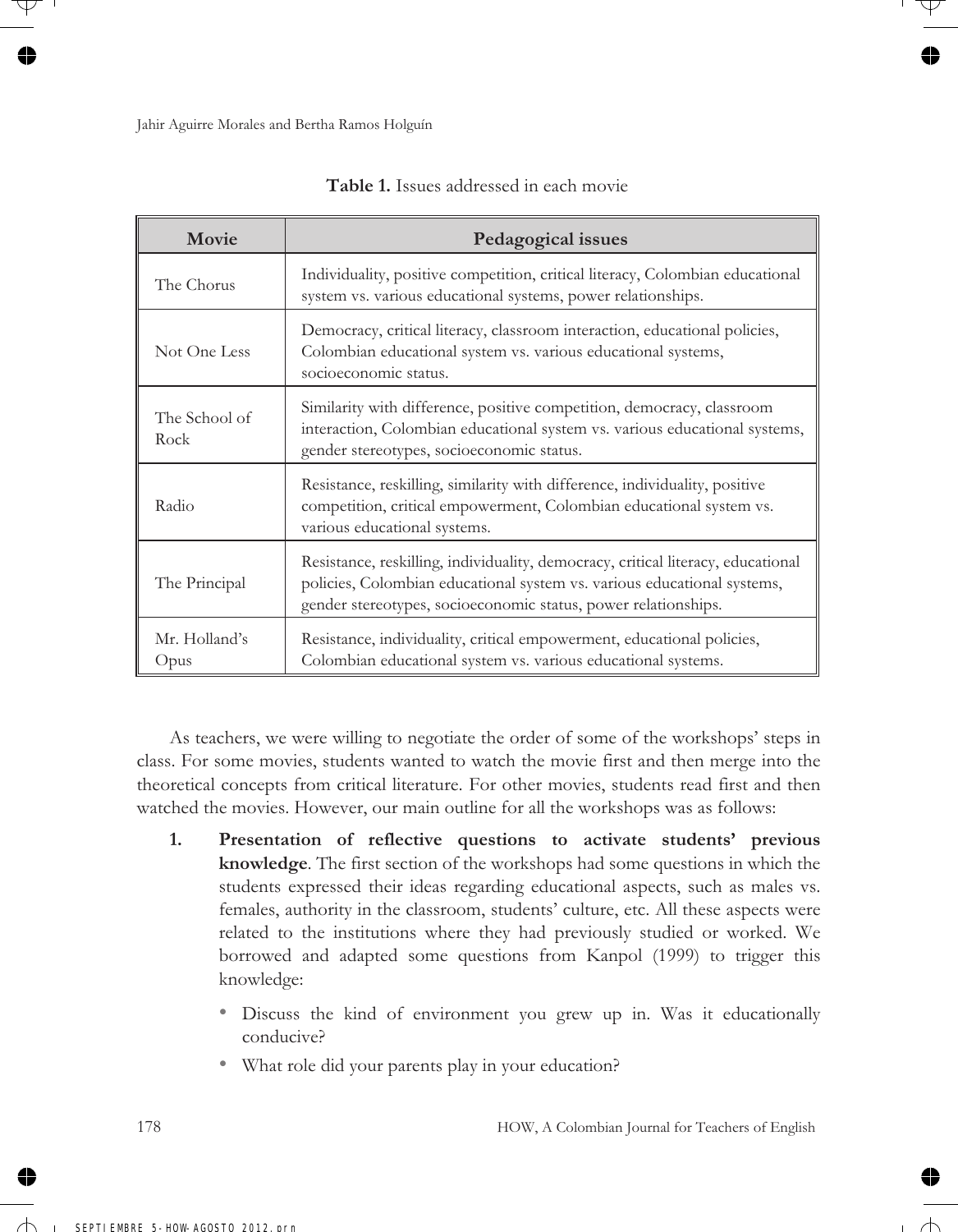| Movie                 | Pedagogical issues                                                                                                                                                                                                            |
|-----------------------|-------------------------------------------------------------------------------------------------------------------------------------------------------------------------------------------------------------------------------|
| The Chorus            | Individuality, positive competition, critical literacy, Colombian educational<br>system vs. various educational systems, power relationships.                                                                                 |
| Not One Less          | Democracy, critical literacy, classroom interaction, educational policies,<br>Colombian educational system vs. various educational systems,<br>socioeconomic status.                                                          |
| The School of<br>Rock | Similarity with difference, positive competition, democracy, classroom<br>interaction, Colombian educational system vs. various educational systems,<br>gender stereotypes, socioeconomic status.                             |
| Radio                 | Resistance, reskilling, similarity with difference, individuality, positive<br>competition, critical empowerment, Colombian educational system vs.<br>various educational systems.                                            |
| The Principal         | Resistance, reskilling, individuality, democracy, critical literacy, educational<br>policies, Colombian educational system vs. various educational systems,<br>gender stereotypes, socioeconomic status, power relationships. |
| Mr. Holland's<br>Opus | Resistance, individuality, critical empowerment, educational policies,<br>Colombian educational system vs. various educational systems.                                                                                       |

**Table 1.** Issues addressed in each movie

As teachers, we were willing to negotiate the order of some of the workshops' steps in class. For some movies, students wanted to watch the movie first and then merge into the theoretical concepts from critical literature. For other movies, students read first and then watched the movies. However, our main outline for all the workshops was as follows:

- **1. Presentation of reflective questions to activate students' previous knowledge**. The first section of the workshops had some questions in which the students expressed their ideas regarding educational aspects, such as males vs. females, authority in the classroom, students' culture, etc. All these aspects were related to the institutions where they had previously studied or worked. We borrowed and adapted some questions from Kanpol (1999) to trigger this knowledge:
	- Discuss the kind of environment you grew up in. Was it educationally conducive?
	- What role did your parents play in your education?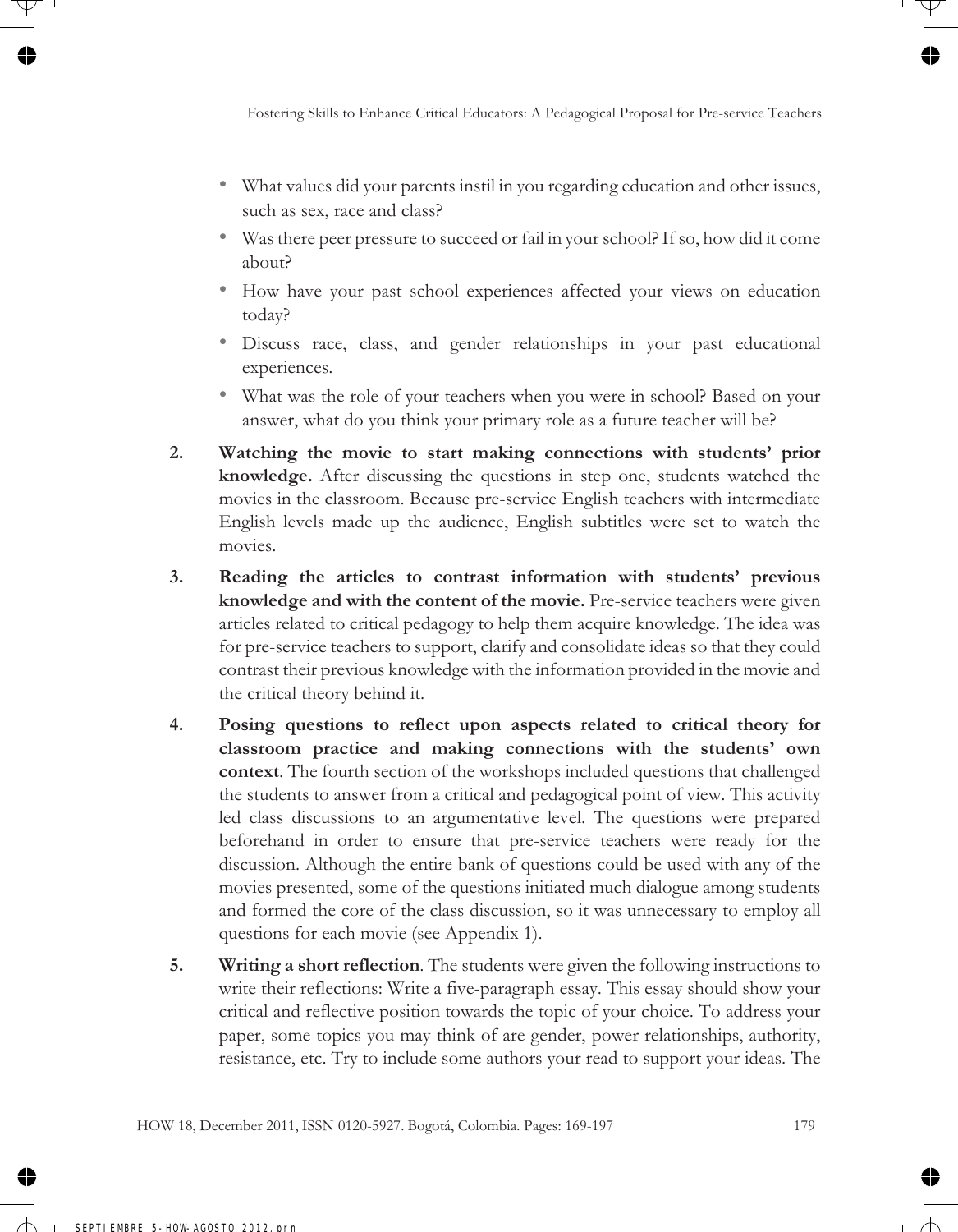- What values did your parents instil in you regarding education and other issues, such as sex, race and class?
- Was there peer pressure to succeed or fail in your school? If so, how did it come about?
- How have your past school experiences affected your views on education today?
- Discuss race, class, and gender relationships in your past educational experiences.
- What was the role of your teachers when you were in school? Based on your answer, what do you think your primary role as a future teacher will be?
- **2. Watching the movie to start making connections with students' prior knowledge.** After discussing the questions in step one, students watched the movies in the classroom. Because pre-service English teachers with intermediate English levels made up the audience, English subtitles were set to watch the movies.
- **3. Reading the articles to contrast information with students' previous knowledge and with the content of the movie.** Pre-service teachers were given articles related to critical pedagogy to help them acquire knowledge. The idea was for pre-service teachers to support, clarify and consolidate ideas so that they could contrast their previous knowledge with the information provided in the movie and the critical theory behind it.
- **4. Posing questions to reflect upon aspects related to critical theory for classroom practice and making connections with the students' own context**. The fourth section of the workshops included questions that challenged the students to answer from a critical and pedagogical point of view. This activity led class discussions to an argumentative level. The questions were prepared beforehand in order to ensure that pre-service teachers were ready for the discussion. Although the entire bank of questions could be used with any of the movies presented, some of the questions initiated much dialogue among students and formed the core of the class discussion, so it was unnecessary to employ all questions for each movie (see Appendix 1).
- **5. Writing a short reflection**. The students were given the following instructions to write their reflections: Write a five-paragraph essay. This essay should show your critical and reflective position towards the topic of your choice. To address your paper, some topics you may think of are gender, power relationships, authority, resistance, etc. Try to include some authors your read to support your ideas. The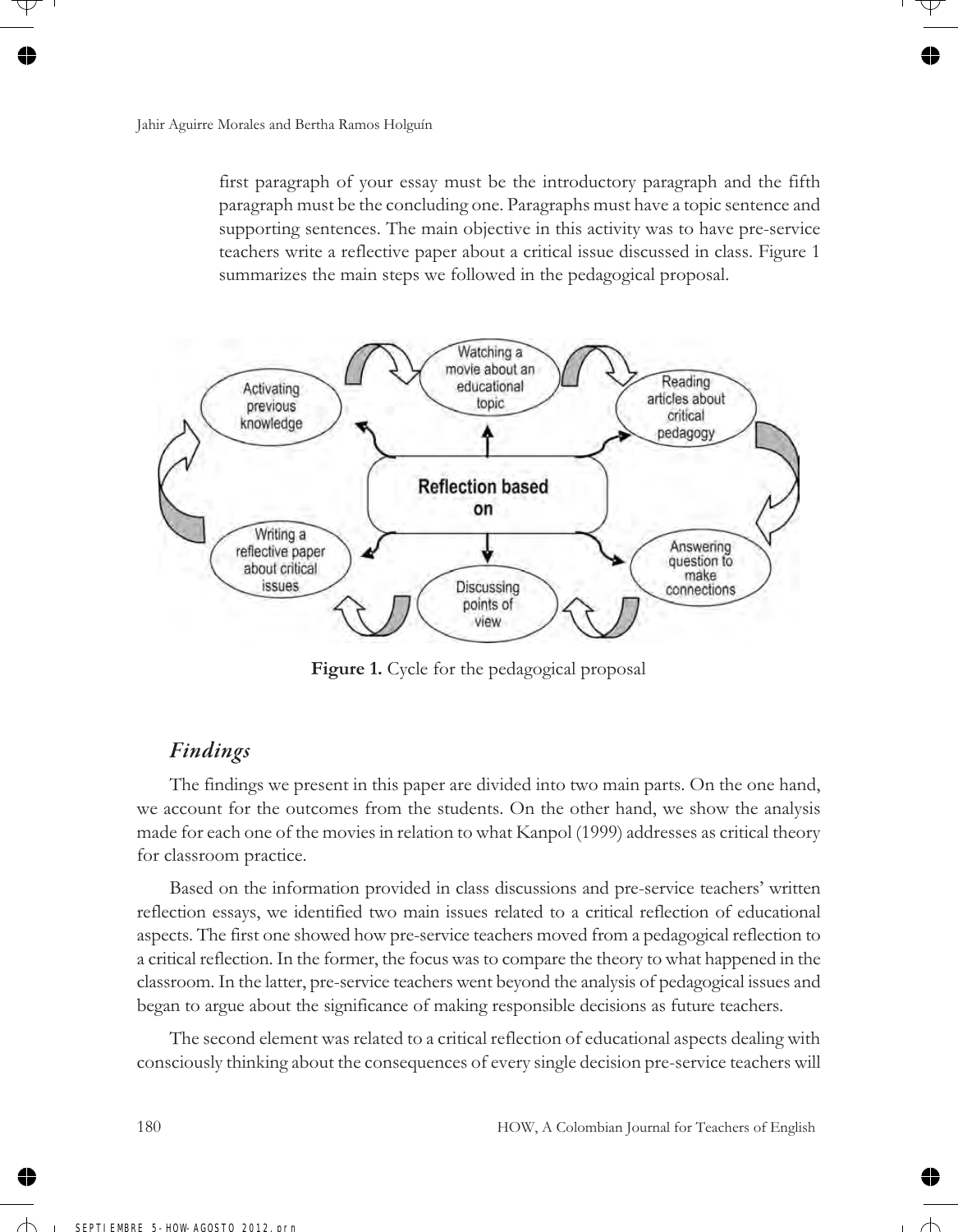first paragraph of your essay must be the introductory paragraph and the fifth paragraph must be the concluding one. Paragraphs must have a topic sentence and supporting sentences. The main objective in this activity was to have pre-service teachers write a reflective paper about a critical issue discussed in class. Figure 1 summarizes the main steps we followed in the pedagogical proposal.



**Figure 1.** Cycle for the pedagogical proposal

### *Findings*

The findings we present in this paper are divided into two main parts. On the one hand, we account for the outcomes from the students. On the other hand, we show the analysis made for each one of the movies in relation to what Kanpol (1999) addresses as critical theory for classroom practice.

Based on the information provided in class discussions and pre-service teachers' written reflection essays, we identified two main issues related to a critical reflection of educational aspects. The first one showed how pre-service teachers moved from a pedagogical reflection to a critical reflection. In the former, the focus was to compare the theory to what happened in the classroom. In the latter, pre-service teachers went beyond the analysis of pedagogical issues and began to argue about the significance of making responsible decisions as future teachers.

The second element was related to a critical reflection of educational aspects dealing with consciously thinking about the consequences of every single decision pre-service teachers will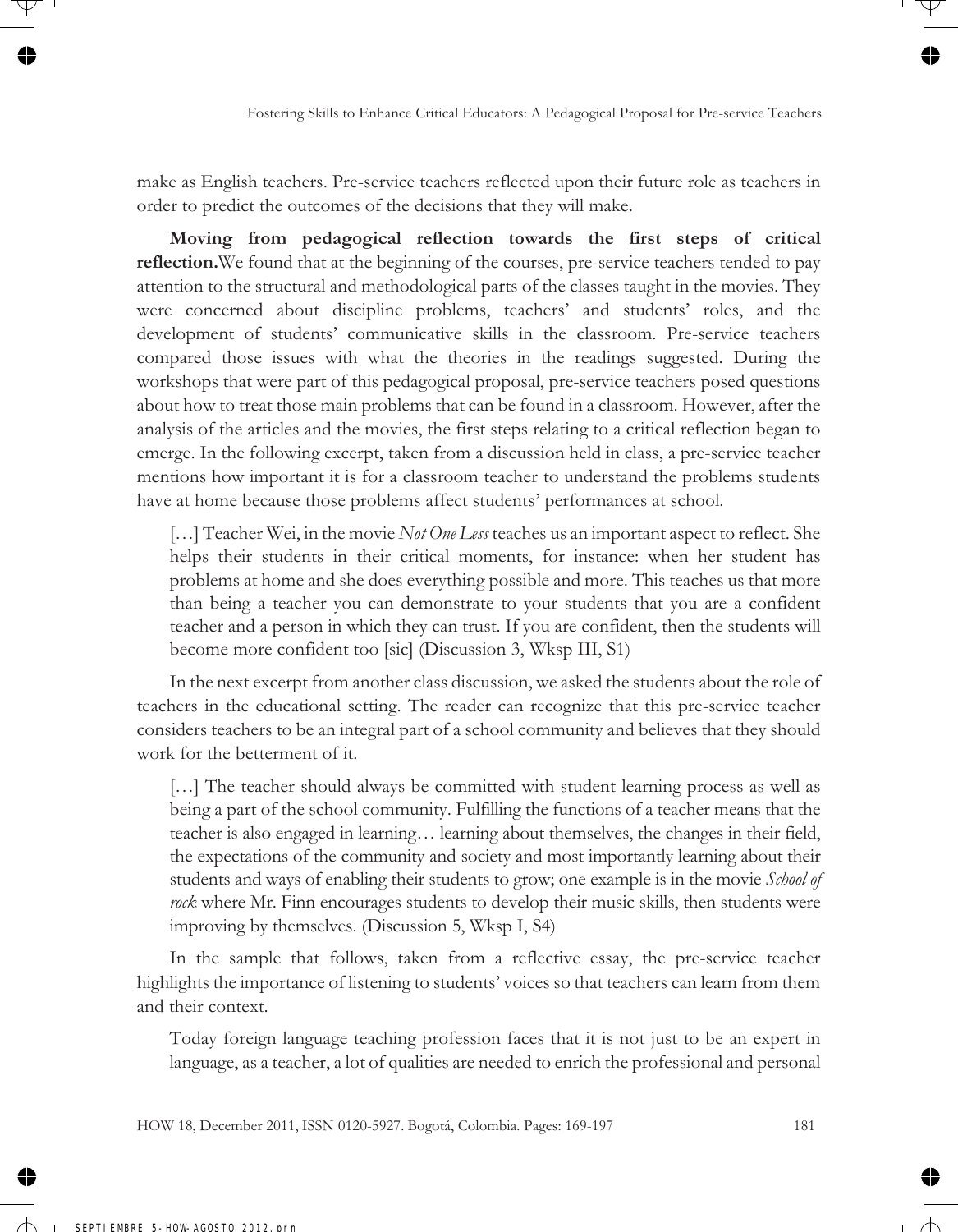make as English teachers. Pre-service teachers reflected upon their future role as teachers in order to predict the outcomes of the decisions that they will make.

**Moving from pedagogical reflection towards the first steps of critical reflection.**We found that at the beginning of the courses, pre-service teachers tended to pay attention to the structural and methodological parts of the classes taught in the movies. They were concerned about discipline problems, teachers' and students' roles, and the development of students' communicative skills in the classroom. Pre-service teachers compared those issues with what the theories in the readings suggested. During the workshops that were part of this pedagogical proposal, pre-service teachers posed questions about how to treat those main problems that can be found in a classroom. However, after the analysis of the articles and the movies, the first steps relating to a critical reflection began to emerge. In the following excerpt, taken from a discussion held in class, a pre-service teacher mentions how important it is for a classroom teacher to understand the problems students have at home because those problems affect students' performances at school.

[...] Teacher Wei, in the movie *Not One Less* teaches us an important aspect to reflect. She helps their students in their critical moments, for instance: when her student has problems at home and she does everything possible and more. This teaches us that more than being a teacher you can demonstrate to your students that you are a confident teacher and a person in which they can trust. If you are confident, then the students will become more confident too [sic] (Discussion 3, Wksp III, S1)

In the next excerpt from another class discussion, we asked the students about the role of teachers in the educational setting. The reader can recognize that this pre-service teacher considers teachers to be an integral part of a school community and believes that they should work for the betterment of it.

[...] The teacher should always be committed with student learning process as well as being a part of the school community. Fulfilling the functions of a teacher means that the teacher is also engaged in learning… learning about themselves, the changes in their field, the expectations of the community and society and most importantly learning about their students and ways of enabling their students to grow; one example is in the movie *School of rock* where Mr. Finn encourages students to develop their music skills, then students were improving by themselves. (Discussion 5, Wksp I, S4)

In the sample that follows, taken from a reflective essay, the pre-service teacher highlights the importance of listening to students' voices so that teachers can learn from them and their context.

Today foreign language teaching profession faces that it is not just to be an expert in language, as a teacher, a lot of qualities are needed to enrich the professional and personal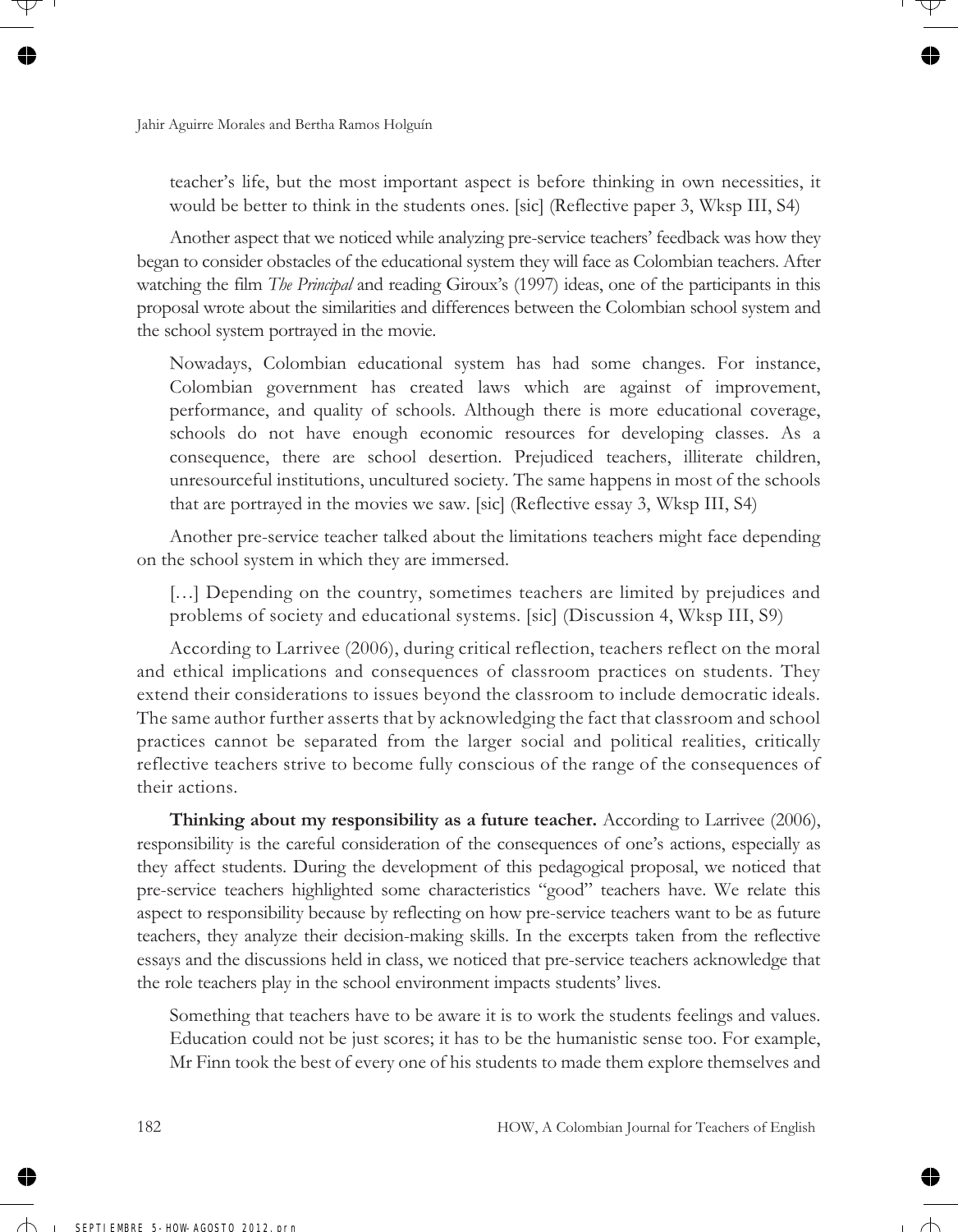teacher's life, but the most important aspect is before thinking in own necessities, it would be better to think in the students ones. [sic] (Reflective paper 3, Wksp III, S4)

Another aspect that we noticed while analyzing pre-service teachers' feedback was how they began to consider obstacles of the educational system they will face as Colombian teachers. After watching the film *The Principal* and reading Giroux's (1997) ideas, one of the participants in this proposal wrote about the similarities and differences between the Colombian school system and the school system portrayed in the movie.

Nowadays, Colombian educational system has had some changes. For instance, Colombian government has created laws which are against of improvement, performance, and quality of schools. Although there is more educational coverage, schools do not have enough economic resources for developing classes. As a consequence, there are school desertion. Prejudiced teachers, illiterate children, unresourceful institutions, uncultured society. The same happens in most of the schools that are portrayed in the movies we saw. [sic] (Reflective essay 3, Wksp III, S4)

Another pre-service teacher talked about the limitations teachers might face depending on the school system in which they are immersed.

[...] Depending on the country, sometimes teachers are limited by prejudices and problems of society and educational systems. [sic] (Discussion 4, Wksp III, S9)

According to Larrivee (2006), during critical reflection, teachers reflect on the moral and ethical implications and consequences of classroom practices on students. They extend their considerations to issues beyond the classroom to include democratic ideals. The same author further asserts that by acknowledging the fact that classroom and school practices cannot be separated from the larger social and political realities, critically reflective teachers strive to become fully conscious of the range of the consequences of their actions.

**Thinking about my responsibility as a future teacher.** According to Larrivee (2006), responsibility is the careful consideration of the consequences of one's actions, especially as they affect students. During the development of this pedagogical proposal, we noticed that pre-service teachers highlighted some characteristics "good" teachers have. We relate this aspect to responsibility because by reflecting on how pre-service teachers want to be as future teachers, they analyze their decision-making skills. In the excerpts taken from the reflective essays and the discussions held in class, we noticed that pre-service teachers acknowledge that the role teachers play in the school environment impacts students' lives.

Something that teachers have to be aware it is to work the students feelings and values. Education could not be just scores; it has to be the humanistic sense too. For example, Mr Finn took the best of every one of his students to made them explore themselves and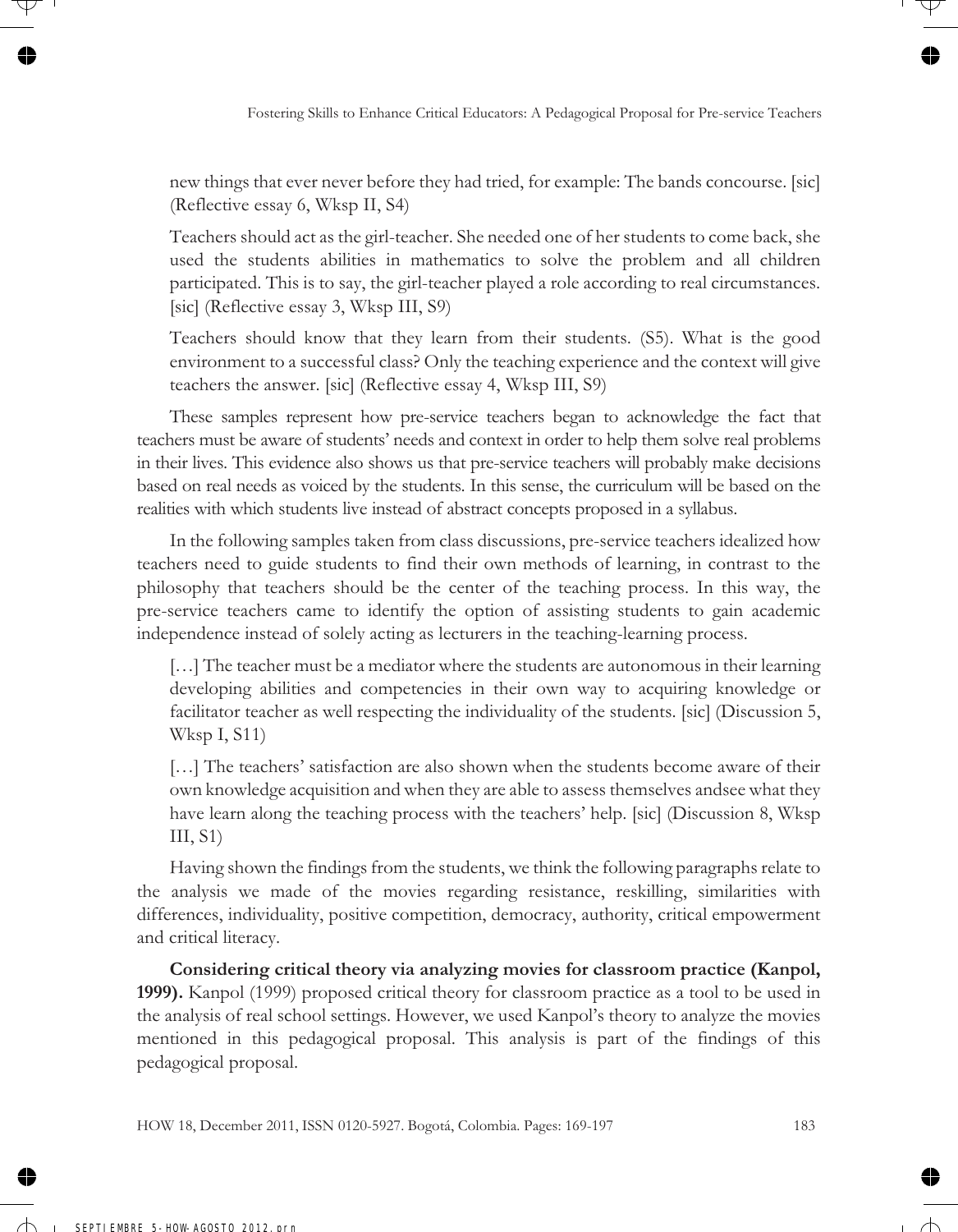new things that ever never before they had tried, for example: The bands concourse. [sic] (Reflective essay 6, Wksp II, S4)

Teachers should act as the girl-teacher. She needed one of her students to come back, she used the students abilities in mathematics to solve the problem and all children participated. This is to say, the girl-teacher played a role according to real circumstances. [sic] (Reflective essay 3, Wksp III, S9)

Teachers should know that they learn from their students. (S5). What is the good environment to a successful class? Only the teaching experience and the context will give teachers the answer. [sic] (Reflective essay 4, Wksp III, S9)

These samples represent how pre-service teachers began to acknowledge the fact that teachers must be aware of students' needs and context in order to help them solve real problems in their lives. This evidence also shows us that pre-service teachers will probably make decisions based on real needs as voiced by the students. In this sense, the curriculum will be based on the realities with which students live instead of abstract concepts proposed in a syllabus.

In the following samples taken from class discussions, pre-service teachers idealized how teachers need to guide students to find their own methods of learning, in contrast to the philosophy that teachers should be the center of the teaching process. In this way, the pre-service teachers came to identify the option of assisting students to gain academic independence instead of solely acting as lecturers in the teaching-learning process.

[...] The teacher must be a mediator where the students are autonomous in their learning developing abilities and competencies in their own way to acquiring knowledge or facilitator teacher as well respecting the individuality of the students. [sic] (Discussion 5, Wksp I, S11)

[...] The teachers' satisfaction are also shown when the students become aware of their own knowledge acquisition and when they are able to assess themselves andsee what they have learn along the teaching process with the teachers' help. [sic] (Discussion 8, Wksp  $III, S1$ 

Having shown the findings from the students, we think the following paragraphs relate to the analysis we made of the movies regarding resistance, reskilling, similarities with differences, individuality, positive competition, democracy, authority, critical empowerment and critical literacy.

**Considering critical theory via analyzing movies for classroom practice (Kanpol, 1999).** Kanpol (1999) proposed critical theory for classroom practice as a tool to be used in the analysis of real school settings. However, we used Kanpol's theory to analyze the movies mentioned in this pedagogical proposal. This analysis is part of the findings of this pedagogical proposal.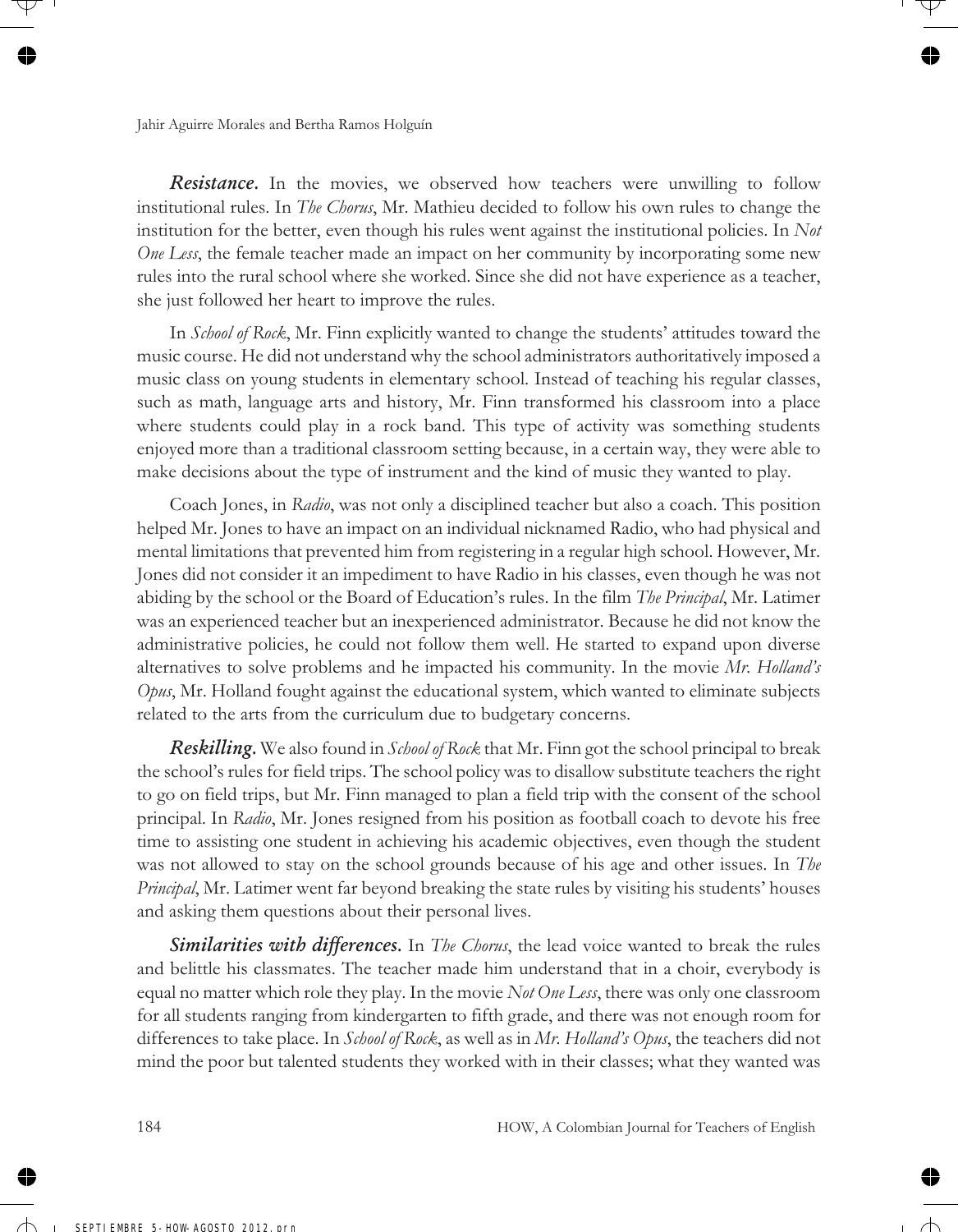*Resistance.* In the movies, we observed how teachers were unwilling to follow institutional rules. In *The Chorus*, Mr. Mathieu decided to follow his own rules to change the institution for the better, even though his rules went against the institutional policies. In *Not One Less*, the female teacher made an impact on her community by incorporating some new rules into the rural school where she worked. Since she did not have experience as a teacher, she just followed her heart to improve the rules.

In *School of Rock*, Mr. Finn explicitly wanted to change the students' attitudes toward the music course. He did not understand why the school administrators authoritatively imposed a music class on young students in elementary school. Instead of teaching his regular classes, such as math, language arts and history, Mr. Finn transformed his classroom into a place where students could play in a rock band. This type of activity was something students enjoyed more than a traditional classroom setting because, in a certain way, they were able to make decisions about the type of instrument and the kind of music they wanted to play.

Coach Jones, in *Radio*, was not only a disciplined teacher but also a coach. This position helped Mr. Jones to have an impact on an individual nicknamed Radio, who had physical and mental limitations that prevented him from registering in a regular high school. However, Mr. Jones did not consider it an impediment to have Radio in his classes, even though he was not abiding by the school or the Board of Education's rules. In the film *The Principal*, Mr. Latimer was an experienced teacher but an inexperienced administrator. Because he did not know the administrative policies, he could not follow them well. He started to expand upon diverse alternatives to solve problems and he impacted his community. In the movie *Mr. Holland's Opus*, Mr. Holland fought against the educational system, which wanted to eliminate subjects related to the arts from the curriculum due to budgetary concerns.

*Reskilling.* We also found in *School of Rock* that Mr. Finn got the school principal to break the school's rules for field trips. The school policy was to disallow substitute teachers the right to go on field trips, but Mr. Finn managed to plan a field trip with the consent of the school principal. In *Radio*, Mr. Jones resigned from his position as football coach to devote his free time to assisting one student in achieving his academic objectives, even though the student was not allowed to stay on the school grounds because of his age and other issues. In *The Principal*, Mr. Latimer went far beyond breaking the state rules by visiting his students' houses and asking them questions about their personal lives.

*Similarities with differences.* In *The Chorus*, the lead voice wanted to break the rules and belittle his classmates. The teacher made him understand that in a choir, everybody is equal no matter which role they play. In the movie *Not One Less*, there was only one classroom for all students ranging from kindergarten to fifth grade, and there was not enough room for differences to take place. In *School of Rock*, as well as in *Mr. Holland's Opus*, the teachers did not mind the poor but talented students they worked with in their classes; what they wanted was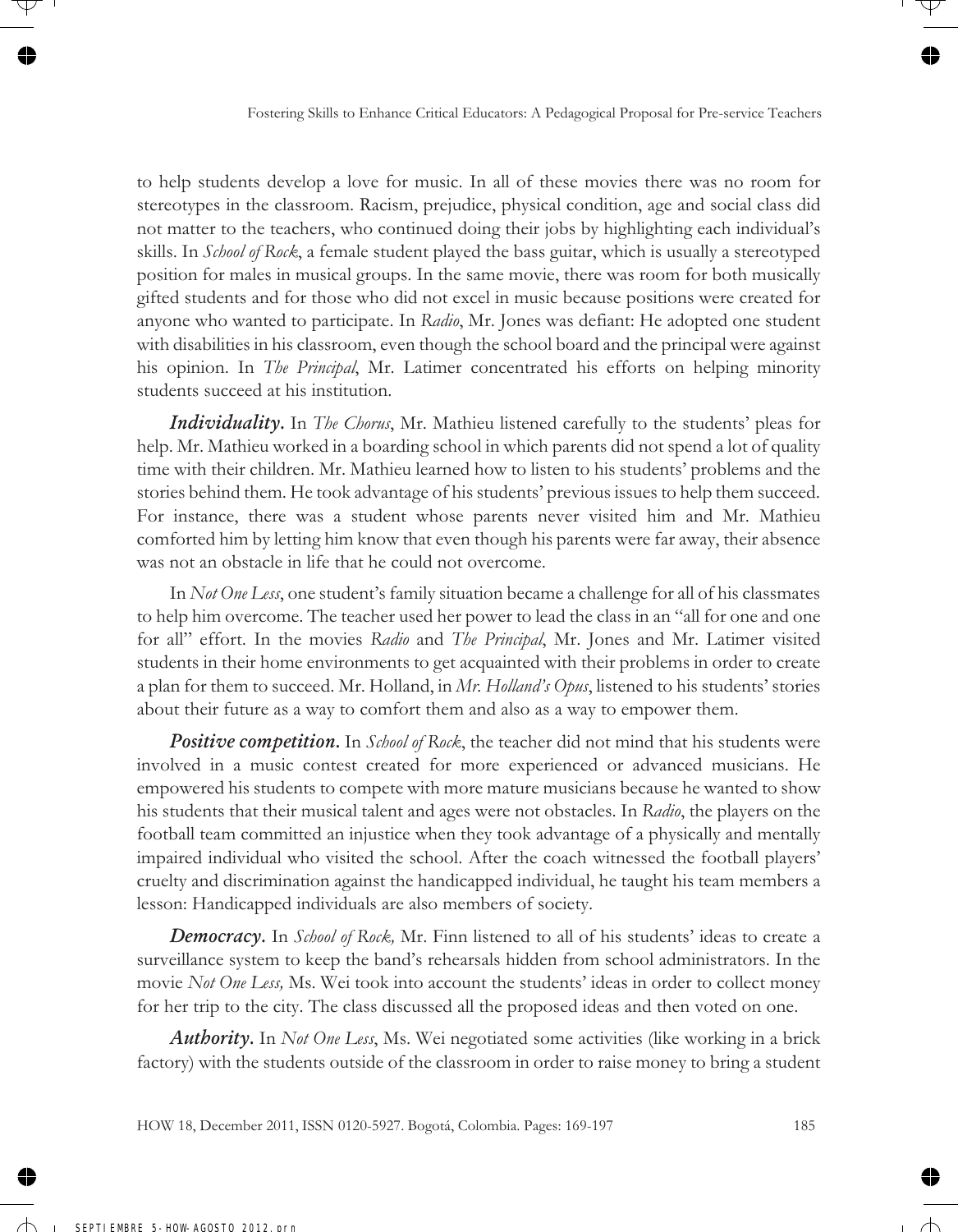to help students develop a love for music. In all of these movies there was no room for stereotypes in the classroom. Racism, prejudice, physical condition, age and social class did not matter to the teachers, who continued doing their jobs by highlighting each individual's skills. In *School of Rock*, a female student played the bass guitar, which is usually a stereotyped position for males in musical groups. In the same movie, there was room for both musically gifted students and for those who did not excel in music because positions were created for anyone who wanted to participate. In *Radio*, Mr. Jones was defiant: He adopted one student with disabilities in his classroom, even though the school board and the principal were against his opinion. In *The Principal*, Mr. Latimer concentrated his efforts on helping minority students succeed at his institution.

*Individuality.* In *The Chorus*, Mr. Mathieu listened carefully to the students' pleas for help. Mr. Mathieu worked in a boarding school in which parents did not spend a lot of quality time with their children. Mr. Mathieu learned how to listen to his students' problems and the stories behind them. He took advantage of his students' previous issues to help them succeed. For instance, there was a student whose parents never visited him and Mr. Mathieu comforted him by letting him know that even though his parents were far away, their absence was not an obstacle in life that he could not overcome.

In *Not One Less*, one student's family situation became a challenge for all of his classmates to help him overcome. The teacher used her power to lead the class in an "all for one and one for all" effort. In the movies *Radio* and *The Principal*, Mr. Jones and Mr. Latimer visited students in their home environments to get acquainted with their problems in order to create a plan for them to succeed. Mr. Holland, in *Mr. Holland's Opus*, listened to his students' stories about their future as a way to comfort them and also as a way to empower them.

*Positive competition.* In *School of Rock*, the teacher did not mind that his students were involved in a music contest created for more experienced or advanced musicians. He empowered his students to compete with more mature musicians because he wanted to show his students that their musical talent and ages were not obstacles. In *Radio*, the players on the football team committed an injustice when they took advantage of a physically and mentally impaired individual who visited the school. After the coach witnessed the football players' cruelty and discrimination against the handicapped individual, he taught his team members a lesson: Handicapped individuals are also members of society.

*Democracy.* In *School of Rock,* Mr. Finn listened to all of his students' ideas to create a surveillance system to keep the band's rehearsals hidden from school administrators. In the movie *Not One Less,* Ms. Wei took into account the students' ideas in order to collect money for her trip to the city. The class discussed all the proposed ideas and then voted on one.

*Authority.* In *Not One Less*, Ms. Wei negotiated some activities (like working in a brick factory) with the students outside of the classroom in order to raise money to bring a student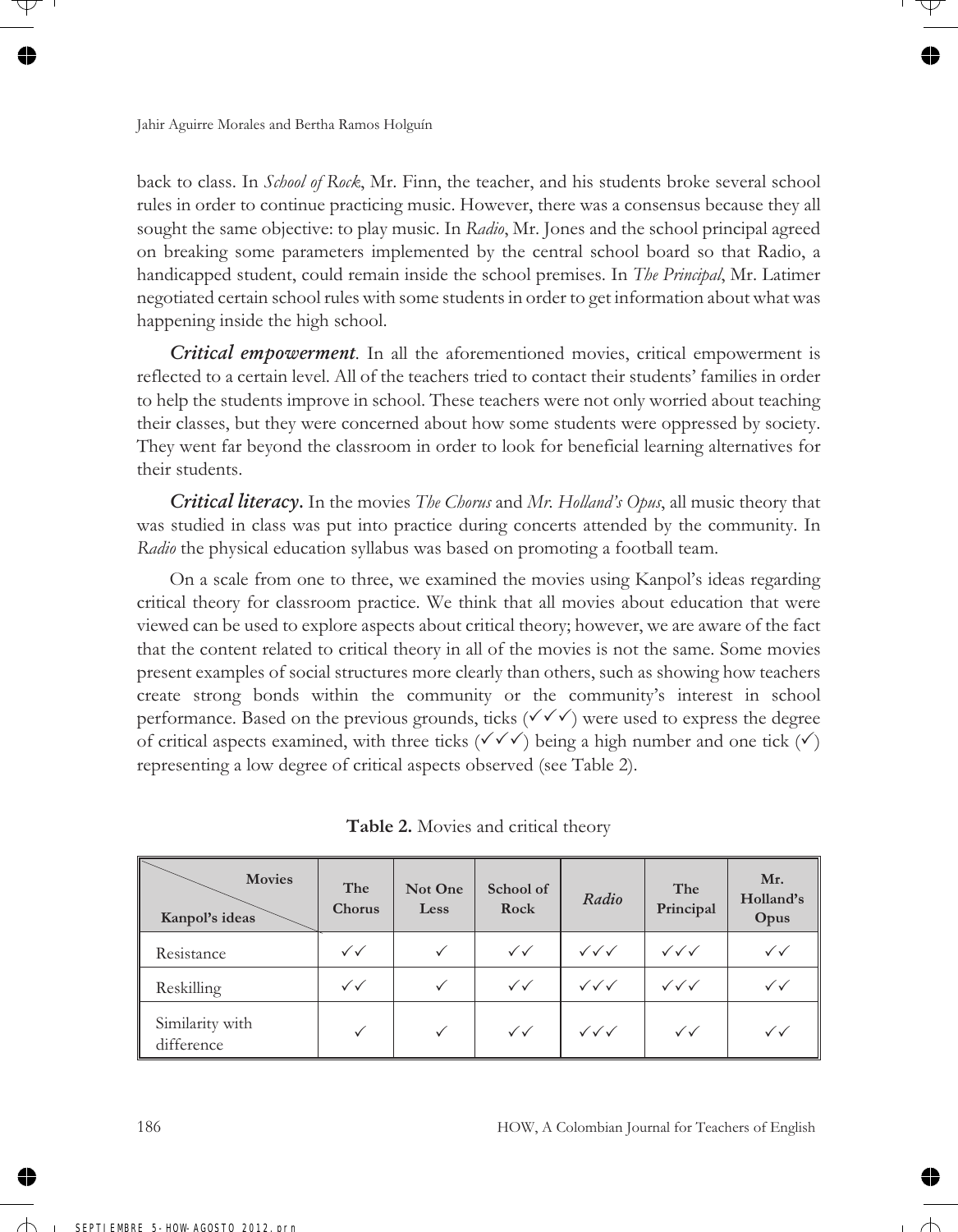back to class. In *School of Rock*, Mr. Finn, the teacher, and his students broke several school rules in order to continue practicing music. However, there was a consensus because they all sought the same objective: to play music. In *Radio*, Mr. Jones and the school principal agreed on breaking some parameters implemented by the central school board so that Radio, a handicapped student, could remain inside the school premises. In *The Principal*, Mr. Latimer negotiated certain school rules with some students in order to get information about what was happening inside the high school.

*Critical empowerment.* In all the aforementioned movies, critical empowerment is reflected to a certain level. All of the teachers tried to contact their students' families in order to help the students improve in school. These teachers were not only worried about teaching their classes, but they were concerned about how some students were oppressed by society. They went far beyond the classroom in order to look for beneficial learning alternatives for their students.

*Critical literacy.* In the movies *The Chorus* and *Mr. Holland's Opus*, all music theory that was studied in class was put into practice during concerts attended by the community. In *Radio* the physical education syllabus was based on promoting a football team.

On a scale from one to three, we examined the movies using Kanpol's ideas regarding critical theory for classroom practice. We think that all movies about education that were viewed can be used to explore aspects about critical theory; however, we are aware of the fact that the content related to critical theory in all of the movies is not the same. Some movies present examples of social structures more clearly than others, such as showing how teachers create strong bonds within the community or the community's interest in school performance. Based on the previous grounds, ticks  $(\checkmark\checkmark)$  were used to express the degree of critical aspects examined, with three ticks  $(\checkmark \checkmark \checkmark)$  being a high number and one tick  $(\checkmark)$ representing a low degree of critical aspects observed (see Table 2).

| <b>Movies</b><br>Kanpol's ideas | The<br>Chorus          | Not One<br>Less | School of<br>Rock      | Radio                            | The<br>Principal                 | Mr.<br>Holland's<br>Opus |
|---------------------------------|------------------------|-----------------|------------------------|----------------------------------|----------------------------------|--------------------------|
| Resistance                      | $\checkmark\checkmark$ |                 | $\checkmark$           | $\checkmark\checkmark\checkmark$ | $\checkmark\checkmark\checkmark$ | $\checkmark$             |
| Reskilling                      | $\checkmark\checkmark$ | $\checkmark$    | $\checkmark$           | $\checkmark\checkmark\checkmark$ | $\checkmark\checkmark\checkmark$ | $\checkmark$             |
| Similarity with<br>difference   |                        |                 | $\checkmark\checkmark$ | $\sqrt{\sqrt{}}$                 | $\checkmark$                     | $\checkmark$             |

**Table 2.** Movies and critical theory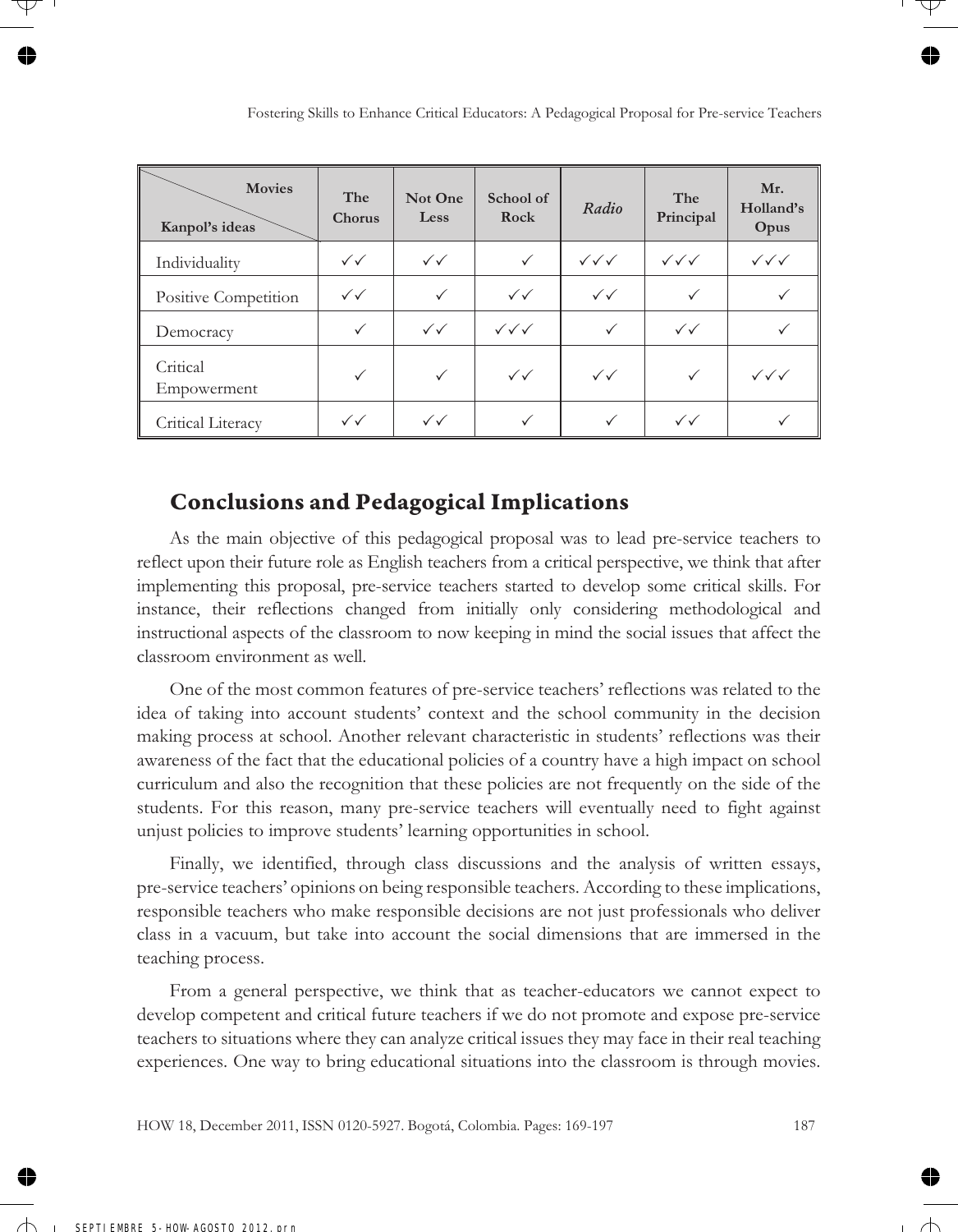| <b>Movies</b><br>Kanpol's ideas | The<br>Chorus          | Not One<br>Less        | School of<br>Rock                | Radio                            | The<br>Principal       | Mr.<br>Holland's<br>Opus         |
|---------------------------------|------------------------|------------------------|----------------------------------|----------------------------------|------------------------|----------------------------------|
| Individuality                   | $\checkmark\checkmark$ | $\checkmark$           | $\checkmark$                     | $\checkmark\checkmark\checkmark$ | $\sqrt{\sqrt{}}$       | $\checkmark\checkmark\checkmark$ |
| Positive Competition            | $\checkmark\checkmark$ | ✓                      | $\checkmark\checkmark$           | $\checkmark\checkmark$           | ✓                      |                                  |
| Democracy                       | $\checkmark$           | $\checkmark\checkmark$ | $\checkmark\checkmark\checkmark$ | ✓                                | $\checkmark\checkmark$ |                                  |
| Critical<br>Empowerment         | $\checkmark$           | $\checkmark$           | $\checkmark\checkmark$           | $\checkmark\checkmark$           | ✓                      | $\checkmark\checkmark\checkmark$ |
| Critical Literacy               | $\checkmark\checkmark$ | $\checkmark$           | ✓                                | ✓                                | $\checkmark\checkmark$ |                                  |

# **Conclusions and Pedagogical Implications**

As the main objective of this pedagogical proposal was to lead pre-service teachers to reflect upon their future role as English teachers from a critical perspective, we think that after implementing this proposal, pre-service teachers started to develop some critical skills. For instance, their reflections changed from initially only considering methodological and instructional aspects of the classroom to now keeping in mind the social issues that affect the classroom environment as well.

One of the most common features of pre-service teachers' reflections was related to the idea of taking into account students' context and the school community in the decision making process at school. Another relevant characteristic in students' reflections was their awareness of the fact that the educational policies of a country have a high impact on school curriculum and also the recognition that these policies are not frequently on the side of the students. For this reason, many pre-service teachers will eventually need to fight against unjust policies to improve students' learning opportunities in school.

Finally, we identified, through class discussions and the analysis of written essays, pre-service teachers' opinions on being responsible teachers. According to these implications, responsible teachers who make responsible decisions are not just professionals who deliver class in a vacuum, but take into account the social dimensions that are immersed in the teaching process.

From a general perspective, we think that as teacher-educators we cannot expect to develop competent and critical future teachers if we do not promote and expose pre-service teachers to situations where they can analyze critical issues they may face in their real teaching experiences. One way to bring educational situations into the classroom is through movies.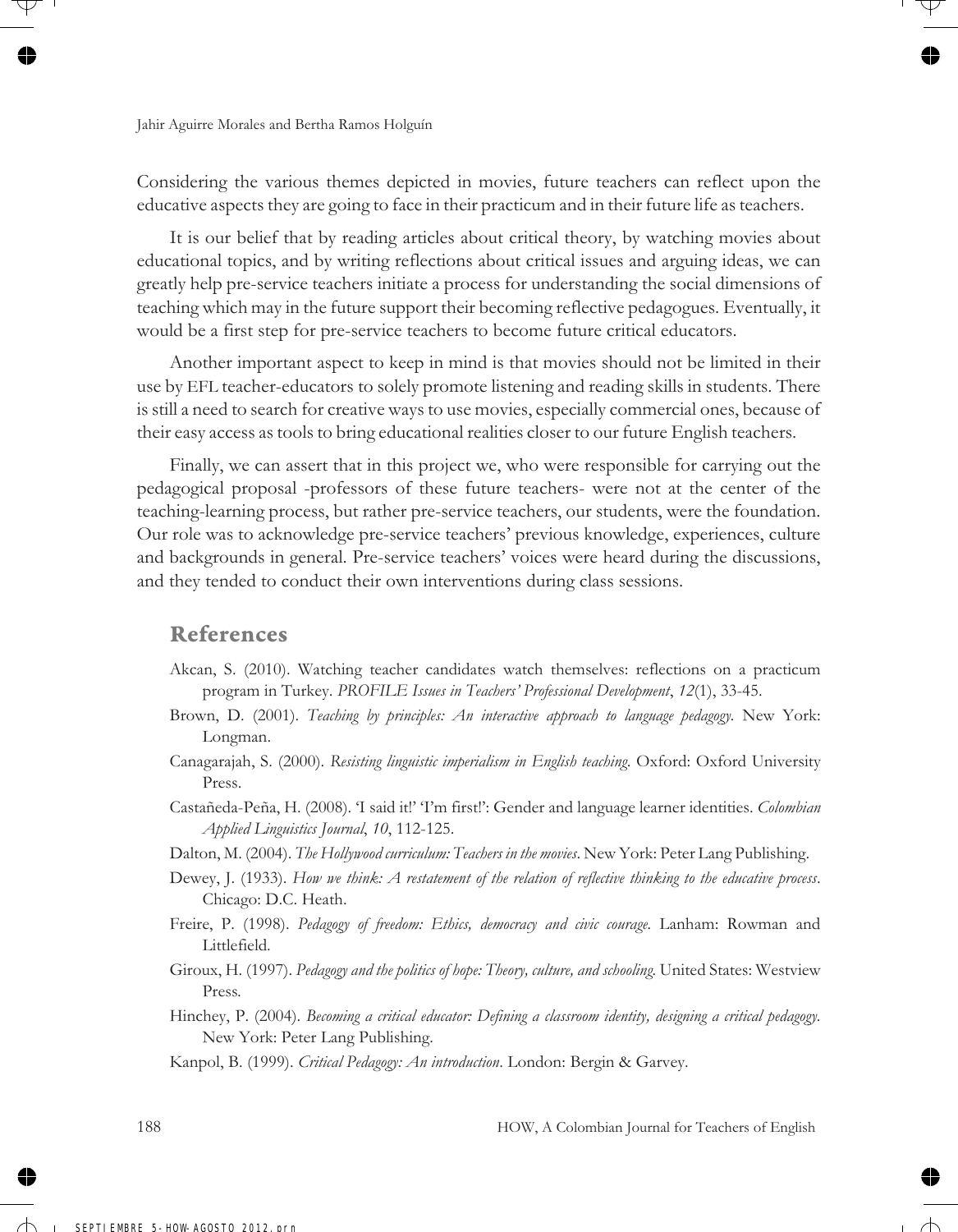Considering the various themes depicted in movies, future teachers can reflect upon the educative aspects they are going to face in their practicum and in their future life as teachers.

It is our belief that by reading articles about critical theory, by watching movies about educational topics, and by writing reflections about critical issues and arguing ideas, we can greatly help pre-service teachers initiate a process for understanding the social dimensions of teaching which may in the future support their becoming reflective pedagogues. Eventually, it would be a first step for pre-service teachers to become future critical educators.

Another important aspect to keep in mind is that movies should not be limited in their use by EFL teacher-educators to solely promote listening and reading skills in students. There is still a need to search for creative ways to use movies, especially commercial ones, because of their easy access as tools to bring educational realities closer to our future English teachers.

Finally, we can assert that in this project we, who were responsible for carrying out the pedagogical proposal -professors of these future teachers- were not at the center of the teaching-learning process, but rather pre-service teachers, our students, were the foundation. Our role was to acknowledge pre-service teachers' previous knowledge, experiences, culture and backgrounds in general. Pre-service teachers' voices were heard during the discussions, and they tended to conduct their own interventions during class sessions.

#### **References**

- Akcan, S. (2010). Watching teacher candidates watch themselves: reflections on a practicum program in Turkey. *PROFILE Issues in Teachers' Professional Development*, *12*(1), 33-45.
- Brown, D. (2001). *Teaching by principles: An interactive approach to language pedagogy.* New York: Longman.
- Canagarajah, S. (2000). *Resisting linguistic imperialism in English teaching*. Oxford: Oxford University Press.
- Castañeda-Peña, H. (2008). 'I said it!' 'I'm first!': Gender and language learner identities. *Colombian Applied Linguistics Journal*, *10*, 112-125.
- Dalton, M. (2004). *The Hollywood curriculum: Teachers in the movies*. New York: Peter Lang Publishing.
- Dewey, J. (1933). *How we think: A restatement of the relation of reflective thinking to the educative process*. Chicago: D.C. Heath.
- Freire, P. (1998). *Pedagogy of freedom: Ethics, democracy and civic courage.* Lanham: Rowman and Littlefield.
- Giroux, H. (1997). *Pedagogy and the politics of hope: Theory, culture, and schooling.* United States: Westview Press*.*
- Hinchey, P. (2004). *Becoming a critical educator: Defining a classroom identity, designing a critical pedagogy.* New York: Peter Lang Publishing.
- Kanpol, B. (1999). *Critical Pedagogy: An introduction*. London: Bergin & Garvey.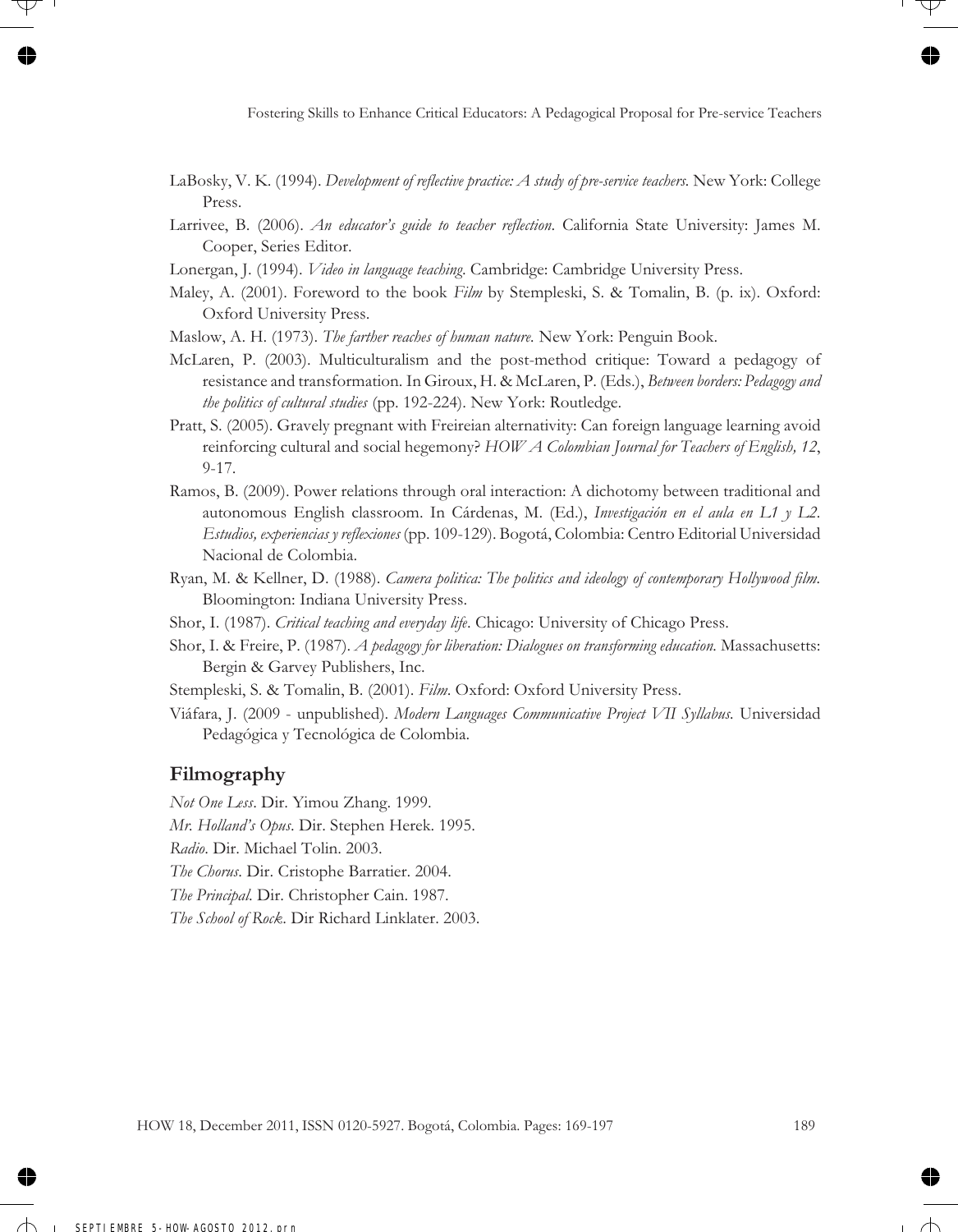- LaBosky, V. K. (1994). *Development of reflective practice: A study of pre-service teachers.* New York: College Press.
- Larrivee, B. (2006). *An educator's guide to teacher reflection*. California State University: James M. Cooper, Series Editor.
- Lonergan, J. (1994). *Video in language teaching*. Cambridge: Cambridge University Press.
- Maley, A. (2001). Foreword to the book *Film* by Stempleski, S. & Tomalin, B. (p. ix). Oxford: Oxford University Press.
- Maslow, A. H. (1973). *The farther reaches of human nature.* New York: Penguin Book.
- McLaren, P. (2003). Multiculturalism and the post-method critique: Toward a pedagogy of resistance and transformation. In Giroux, H. & McLaren, P. (Eds.), *Between borders: Pedagogy and the politics of cultural studies* (pp. 192-224). New York: Routledge.
- Pratt, S. (2005). Gravely pregnant with Freireian alternativity: Can foreign language learning avoid reinforcing cultural and social hegemony? *HOW A Colombian Journal for Teachers of English, 12*, 9-17.
- Ramos, B. (2009). Power relations through oral interaction: A dichotomy between traditional and autonomous English classroom. In Cárdenas, M. (Ed.), *Investigación en el aula en L1 y L2. Estudios, experiencias y reflexiones* (pp. 109-129). Bogotá, Colombia: Centro Editorial Universidad Nacional de Colombia.
- Ryan, M. & Kellner, D. (1988). *Camera politica: The politics and ideology of contemporary Hollywood film.* Bloomington: Indiana University Press.
- Shor, I. (1987). *Critical teaching and everyday life*. Chicago: University of Chicago Press.
- Shor, I. & Freire, P. (1987). *A pedagogy for liberation: Dialogues on transforming education.* Massachusetts: Bergin & Garvey Publishers, Inc.
- Stempleski, S. & Tomalin, B. (2001). *Film*. Oxford: Oxford University Press.
- Viáfara, J. (2009 unpublished). *Modern Languages Communicative Project VII Syllabus.* Universidad Pedagógica y Tecnológica de Colombia.

#### **Filmography**

- *Not One Less*. Dir. Yimou Zhang. 1999.
- *Mr. Holland's Opus*. Dir. Stephen Herek. 1995.
- *Radio*. Dir. Michael Tolin. 2003.
- *The Chorus*. Dir. Cristophe Barratier. 2004.
- *The Principal*. Dir. Christopher Cain. 1987.

*The School of Rock*. Dir Richard Linklater. 2003.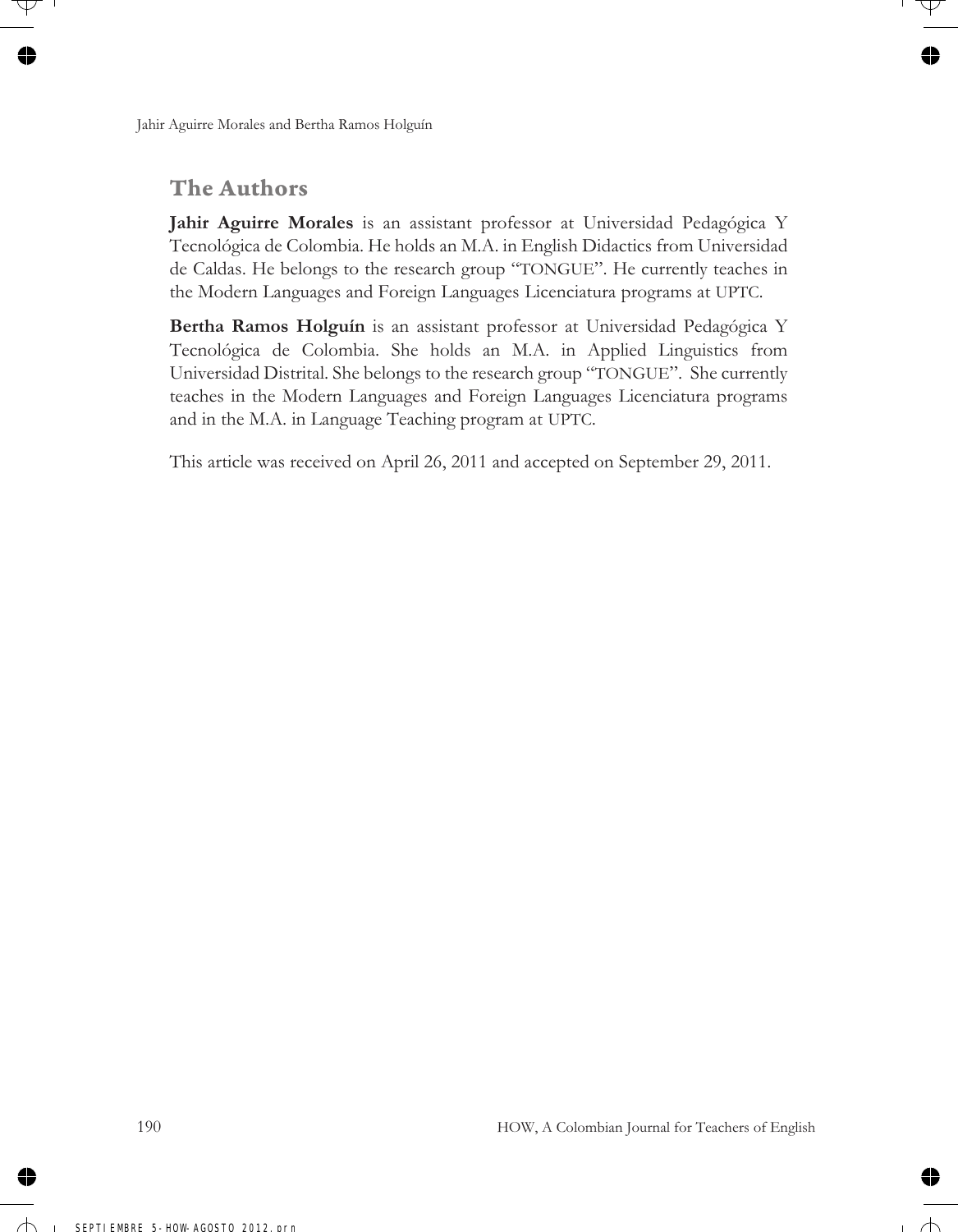# **The Authors**

**Jahir Aguirre Morales** is an assistant professor at Universidad Pedagógica Y Tecnológica de Colombia. He holds an M.A. in English Didactics from Universidad de Caldas. He belongs to the research group "TONGUE". He currently teaches in the Modern Languages and Foreign Languages Licenciatura programs at UPTC.

**Bertha Ramos Holguín** is an assistant professor at Universidad Pedagógica Y Tecnológica de Colombia. She holds an M.A. in Applied Linguistics from Universidad Distrital. She belongs to the research group "TONGUE". She currently teaches in the Modern Languages and Foreign Languages Licenciatura programs and in the M.A. in Language Teaching program at UPTC.

This article was received on April 26, 2011 and accepted on September 29, 2011.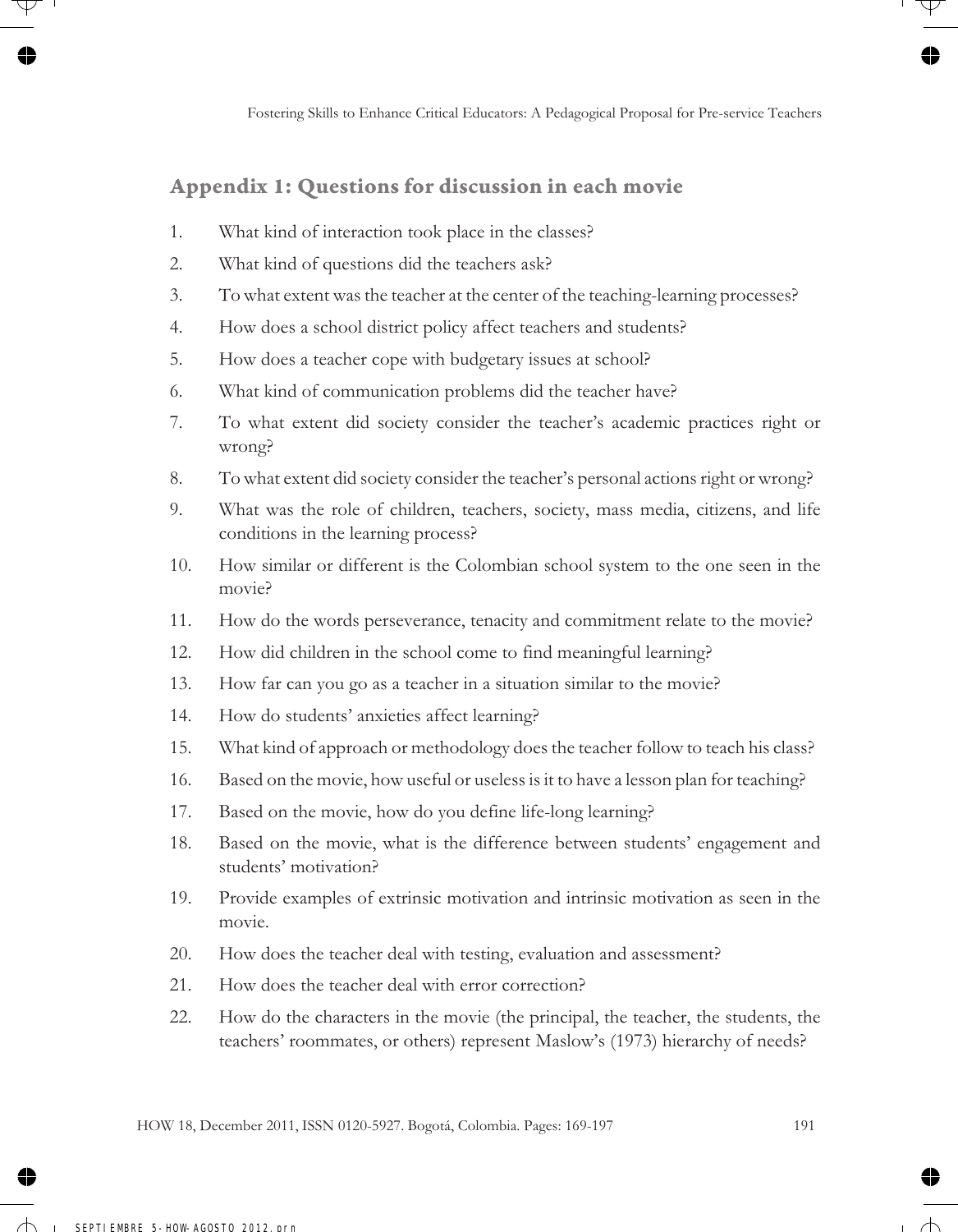### **Appendix 1: Questions for discussion in each movie**

- 1. What kind of interaction took place in the classes?
- 2. What kind of questions did the teachers ask?
- 3. To what extent was the teacher at the center of the teaching-learning processes?
- 4. How does a school district policy affect teachers and students?
- 5. How does a teacher cope with budgetary issues at school?
- 6. What kind of communication problems did the teacher have?
- 7. To what extent did society consider the teacher's academic practices right or wrong?
- 8. To what extent did society consider the teacher's personal actions right or wrong?
- 9. What was the role of children, teachers, society, mass media, citizens, and life conditions in the learning process?
- 10. How similar or different is the Colombian school system to the one seen in the movie?
- 11. How do the words perseverance, tenacity and commitment relate to the movie?
- 12. How did children in the school come to find meaningful learning?
- 13. How far can you go as a teacher in a situation similar to the movie?
- 14. How do students' anxieties affect learning?
- 15. What kind of approach or methodology does the teacher follow to teach his class?
- 16. Based on the movie, how useful or useless is it to have a lesson plan for teaching?
- 17. Based on the movie, how do you define life-long learning?
- 18. Based on the movie, what is the difference between students' engagement and students' motivation?
- 19. Provide examples of extrinsic motivation and intrinsic motivation as seen in the movie.
- 20. How does the teacher deal with testing, evaluation and assessment?
- 21. How does the teacher deal with error correction?
- 22. How do the characters in the movie (the principal, the teacher, the students, the teachers' roommates, or others) represent Maslow's (1973) hierarchy of needs?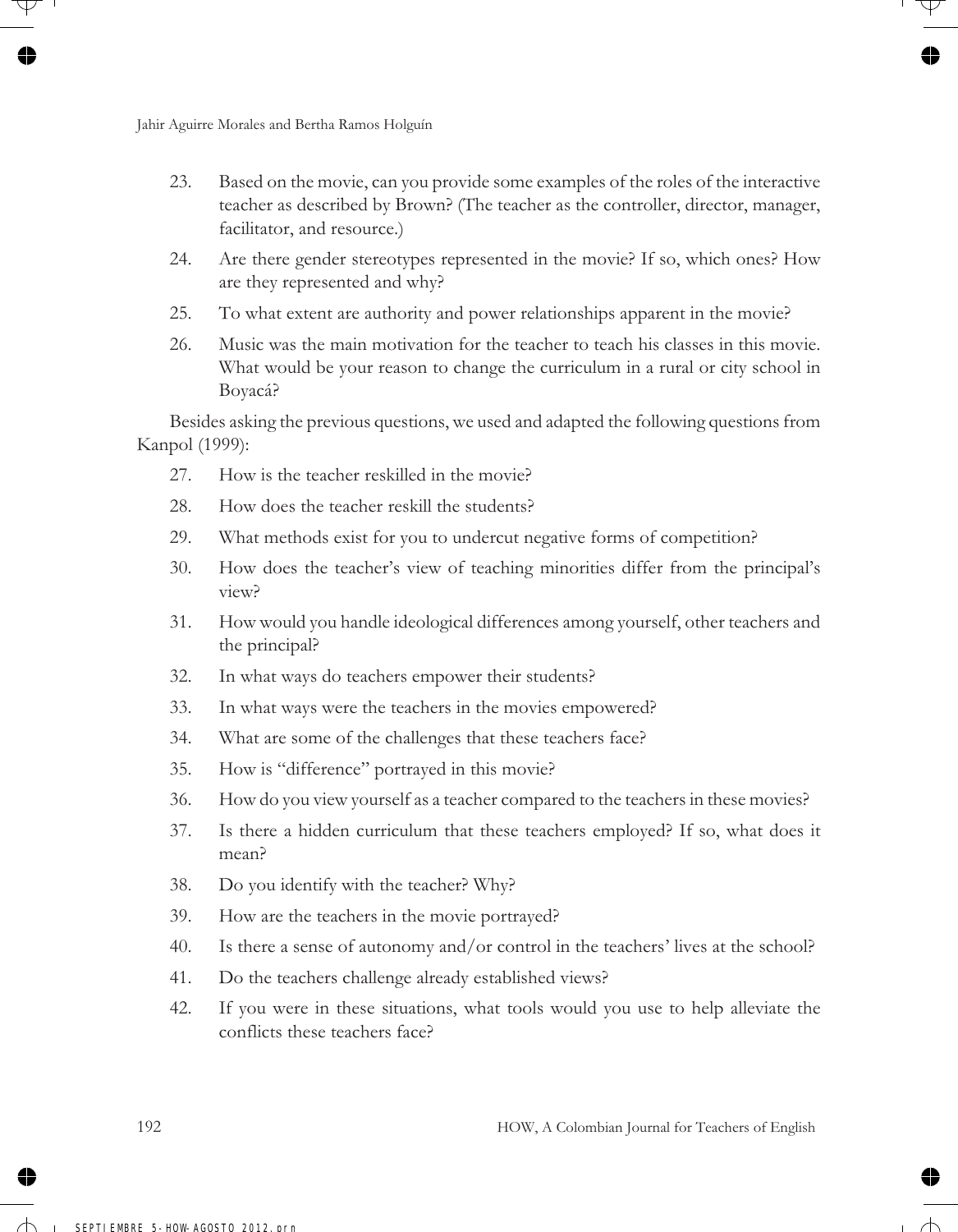- 23. Based on the movie, can you provide some examples of the roles of the interactive teacher as described by Brown? (The teacher as the controller, director, manager, facilitator, and resource.)
- 24. Are there gender stereotypes represented in the movie? If so, which ones? How are they represented and why?
- 25. To what extent are authority and power relationships apparent in the movie?
- 26. Music was the main motivation for the teacher to teach his classes in this movie. What would be your reason to change the curriculum in a rural or city school in Boyacá?

Besides asking the previous questions, we used and adapted the following questions from Kanpol (1999):

- 27. How is the teacher reskilled in the movie?
- 28. How does the teacher reskill the students?
- 29. What methods exist for you to undercut negative forms of competition?
- 30. How does the teacher's view of teaching minorities differ from the principal's view?
- 31. How would you handle ideological differences among yourself, other teachers and the principal?
- 32. In what ways do teachers empower their students?
- 33. In what ways were the teachers in the movies empowered?
- 34. What are some of the challenges that these teachers face?
- 35. How is "difference" portrayed in this movie?
- 36. How do you view yourself as a teacher compared to the teachers in these movies?
- 37. Is there a hidden curriculum that these teachers employed? If so, what does it mean?
- 38. Do you identify with the teacher? Why?
- 39. How are the teachers in the movie portrayed?
- 40. Is there a sense of autonomy and/or control in the teachers' lives at the school?
- 41. Do the teachers challenge already established views?
- 42. If you were in these situations, what tools would you use to help alleviate the conflicts these teachers face?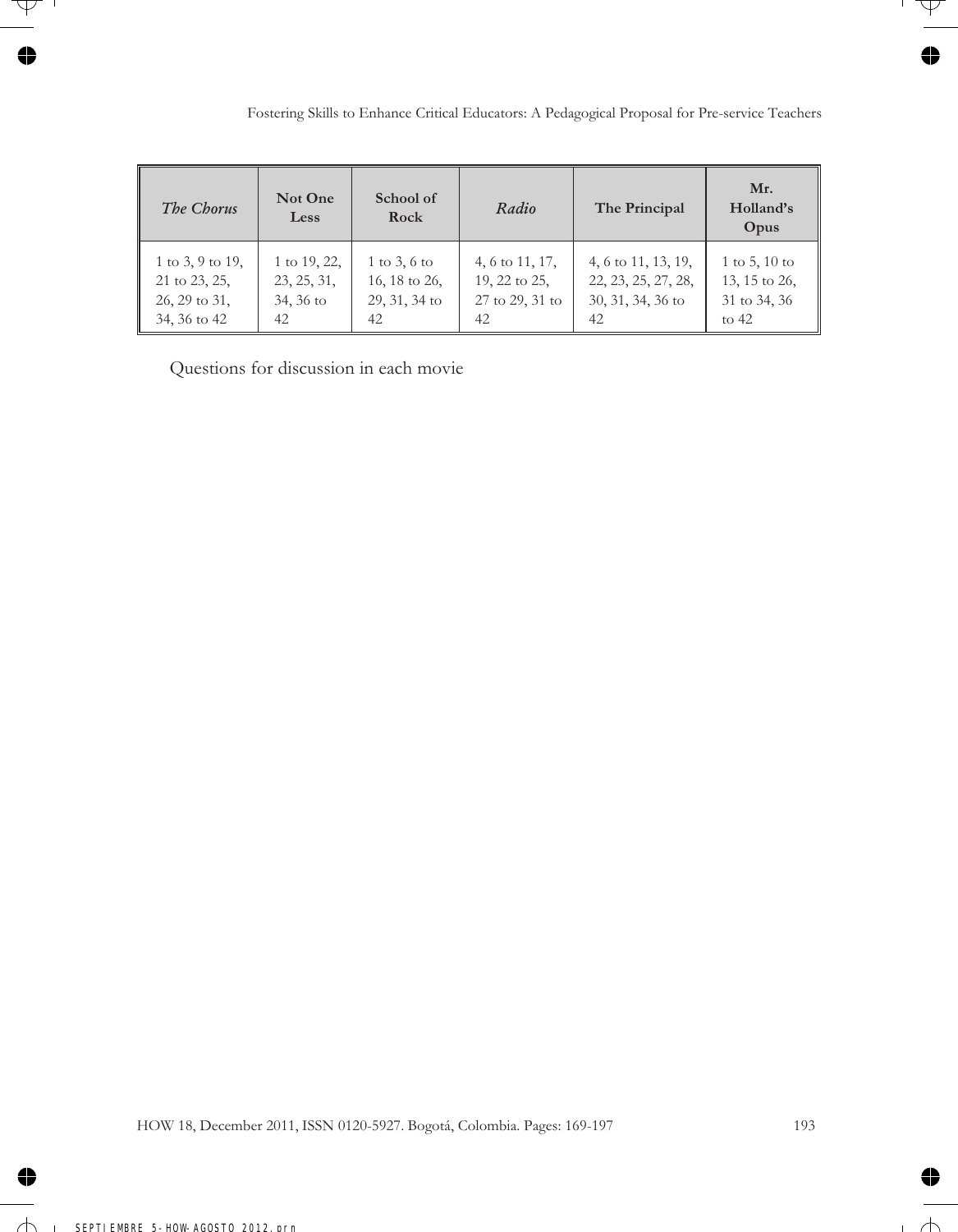| The Chorus       | Not One<br>Less | School of<br>Rock | Radio           | The Principal       | Mr.<br>Holland's<br>Opus |
|------------------|-----------------|-------------------|-----------------|---------------------|--------------------------|
| 1 to 3, 9 to 19, | 1 to 19, 22,    | $1$ to $3, 6$ to  | 4, 6 to 11, 17, | 4, 6 to 11, 13, 19, | $1$ to $5, 10$ to        |
| 21 to 23, 25,    | 23, 25, 31,     | 16, 18 to 26,     | 19, 22 to 25,   | 22, 23, 25, 27, 28, | 13, 15 to 26,            |
| 26, 29 to 31,    | 34, 36 to       | $29, 31, 34$ to   | 27 to 29, 31 to | 30, 31, 34, 36 to   | 31 to 34, 36             |
| 34, 36 to 42     | 42              | 42                | 42              | 42                  | to $42$                  |

Questions for discussion in each movie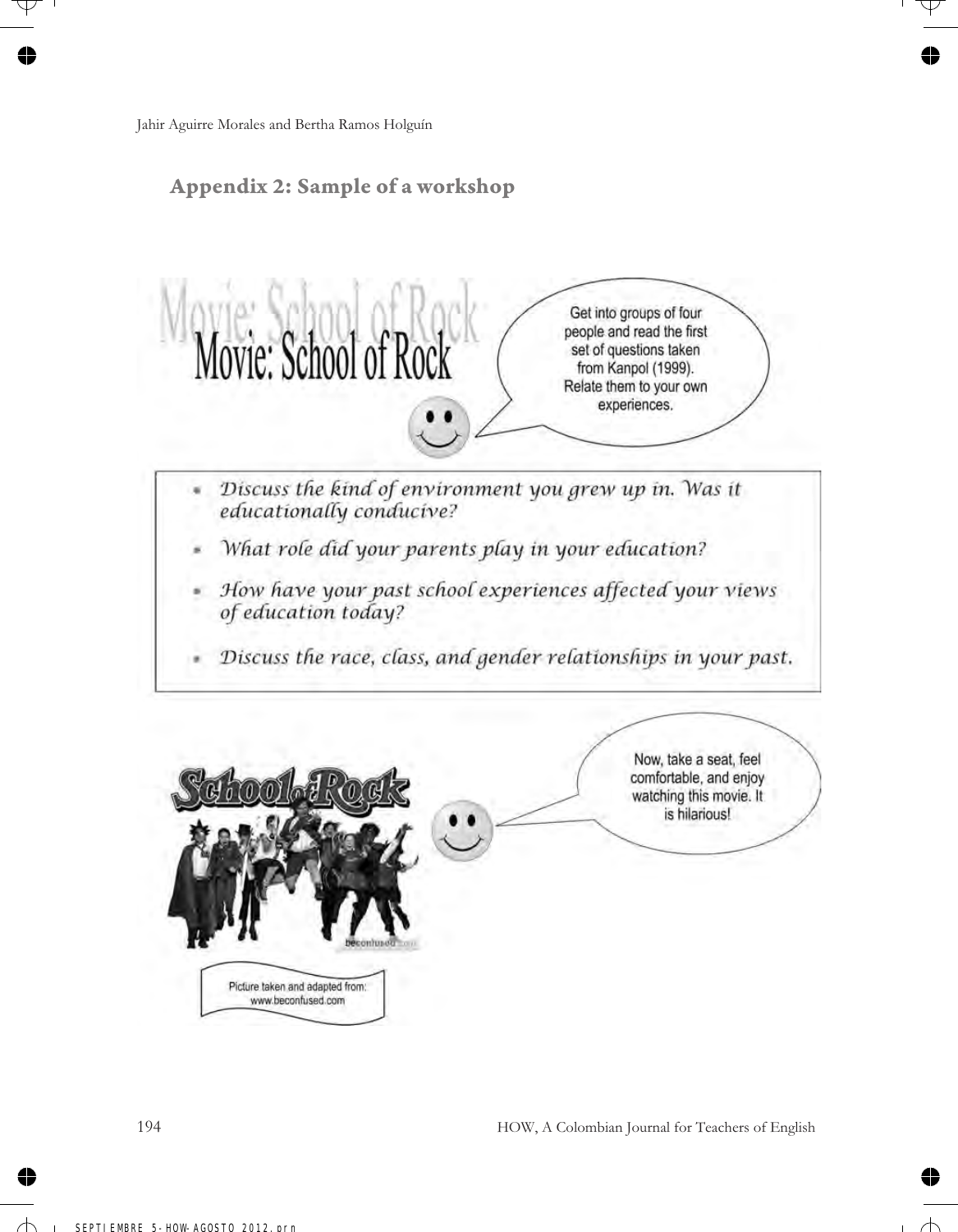### **Appendix 2: Sample of a workshop**

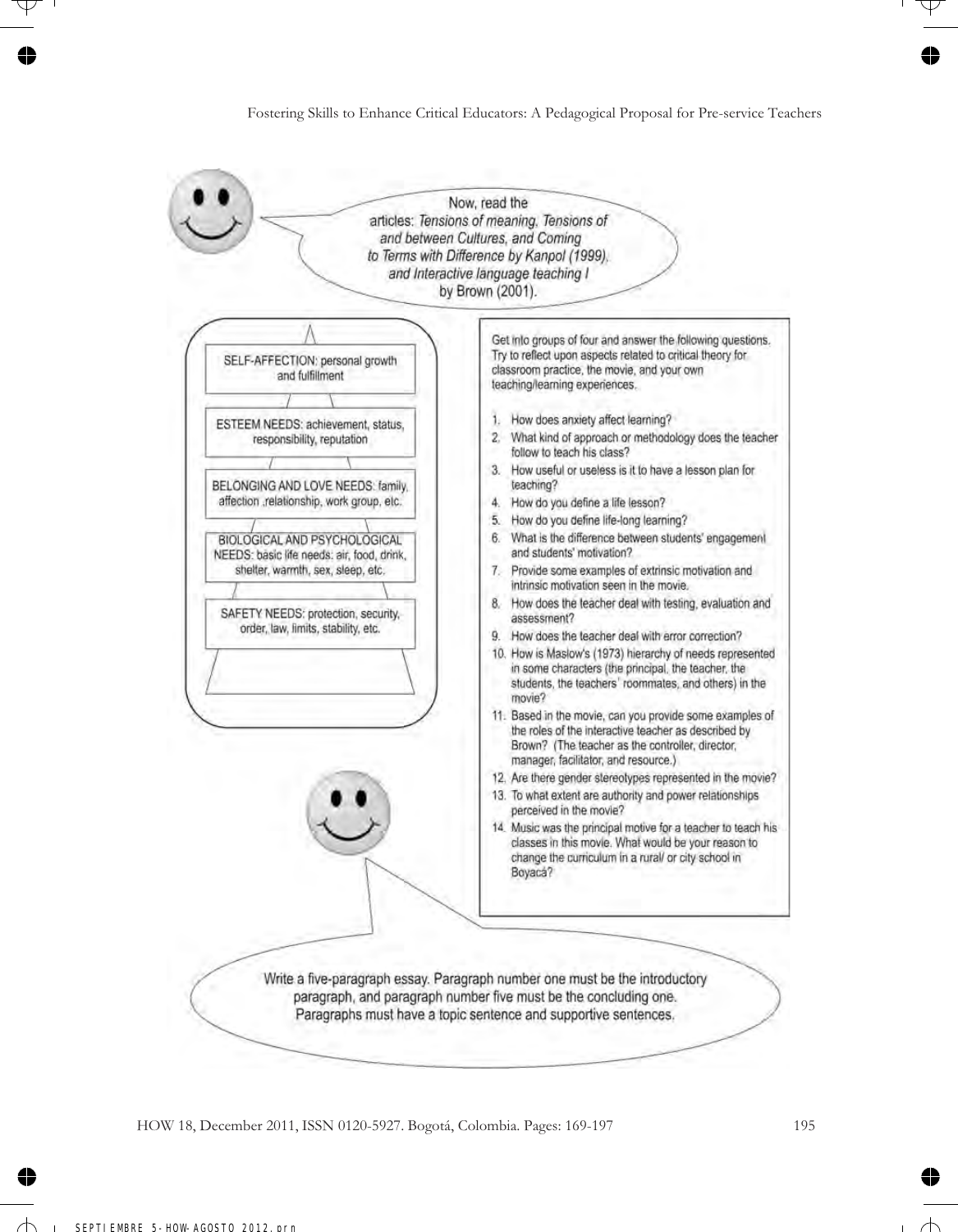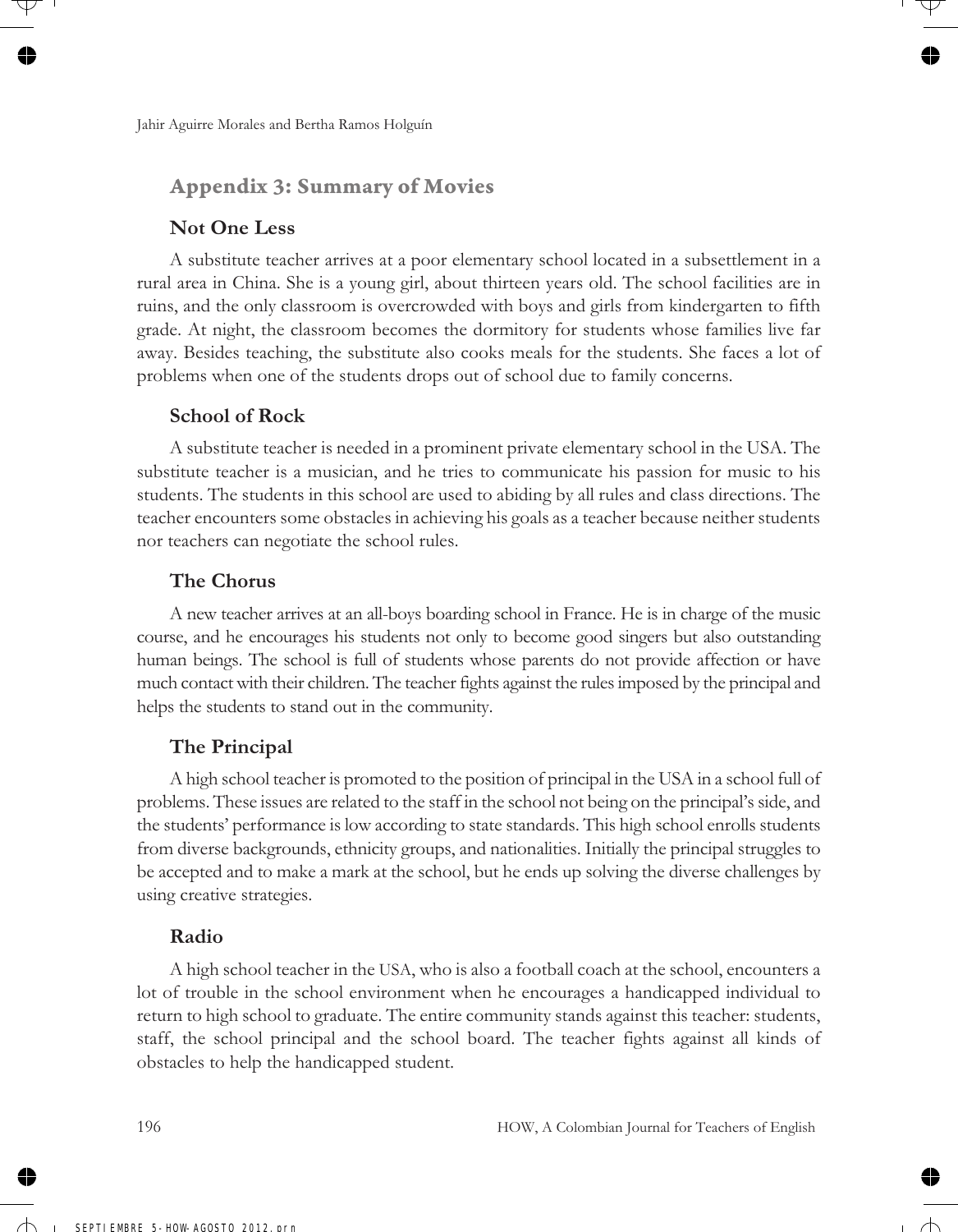### **Appendix 3: Summary of Movies**

#### **Not One Less**

A substitute teacher arrives at a poor elementary school located in a subsettlement in a rural area in China. She is a young girl, about thirteen years old. The school facilities are in ruins, and the only classroom is overcrowded with boys and girls from kindergarten to fifth grade. At night, the classroom becomes the dormitory for students whose families live far away. Besides teaching, the substitute also cooks meals for the students. She faces a lot of problems when one of the students drops out of school due to family concerns.

#### **School of Rock**

A substitute teacher is needed in a prominent private elementary school in the USA. The substitute teacher is a musician, and he tries to communicate his passion for music to his students. The students in this school are used to abiding by all rules and class directions. The teacher encounters some obstacles in achieving his goals as a teacher because neither students nor teachers can negotiate the school rules.

### **The Chorus**

A new teacher arrives at an all-boys boarding school in France. He is in charge of the music course, and he encourages his students not only to become good singers but also outstanding human beings. The school is full of students whose parents do not provide affection or have much contact with their children. The teacher fights against the rules imposed by the principal and helps the students to stand out in the community.

### **The Principal**

A high school teacher is promoted to the position of principal in the USA in a school full of problems. These issues are related to the staff in the school not being on the principal's side, and the students' performance is low according to state standards. This high school enrolls students from diverse backgrounds, ethnicity groups, and nationalities. Initially the principal struggles to be accepted and to make a mark at the school, but he ends up solving the diverse challenges by using creative strategies.

### **Radio**

A high school teacher in the USA, who is also a football coach at the school, encounters a lot of trouble in the school environment when he encourages a handicapped individual to return to high school to graduate. The entire community stands against this teacher: students, staff, the school principal and the school board. The teacher fights against all kinds of obstacles to help the handicapped student.